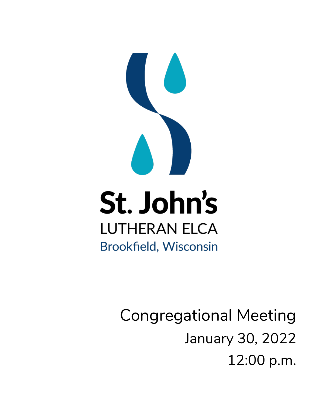

Congregational Meeting January 30, 2022 12:00 p.m.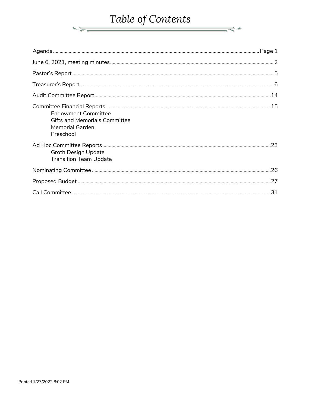# Table of Contents

 $\frac{1}{\sqrt{2}}\frac{1}{\sqrt{2}}\frac{1}{\sqrt{2}}\frac{1}{\sqrt{2}}\frac{1}{\sqrt{2}}\frac{1}{\sqrt{2}}\frac{1}{\sqrt{2}}\frac{1}{\sqrt{2}}\frac{1}{\sqrt{2}}\frac{1}{\sqrt{2}}\frac{1}{\sqrt{2}}\frac{1}{\sqrt{2}}\frac{1}{\sqrt{2}}\frac{1}{\sqrt{2}}\frac{1}{\sqrt{2}}\frac{1}{\sqrt{2}}\frac{1}{\sqrt{2}}\frac{1}{\sqrt{2}}\frac{1}{\sqrt{2}}\frac{1}{\sqrt{2}}\frac{1}{\sqrt{2}}\frac{1}{\sqrt{2}}$ 

 $\frac{1}{\sqrt{2}}$ 

| <b>Endowment Committee</b><br><b>Gifts and Memorials Committee</b><br><b>Memorial Garden</b><br>Preschool |  |
|-----------------------------------------------------------------------------------------------------------|--|
| <b>Groth Design Update</b><br><b>Transition Team Update</b>                                               |  |
|                                                                                                           |  |
|                                                                                                           |  |
|                                                                                                           |  |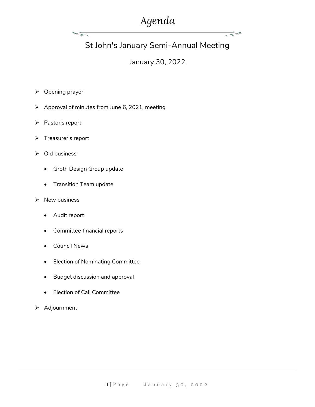## *Agenda*

ਵ≑≁

## St John's January Semi-Annual Meeting

## January 30, 2022

- ➢ Opening prayer
- ➢ Approval of minutes from June 6, 2021, meeting
- ➢ Pastor's report
- ➢ Treasurer's report
- ➢ Old business
	- Groth Design Group update

∼ਙਰ

- Transition Team update
- ➢ New business
	- Audit report
	- Committee financial reports
	- Council News
	- Election of Nominating Committee
	- Budget discussion and approval
	- Election of Call Committee
- ➢ Adjournment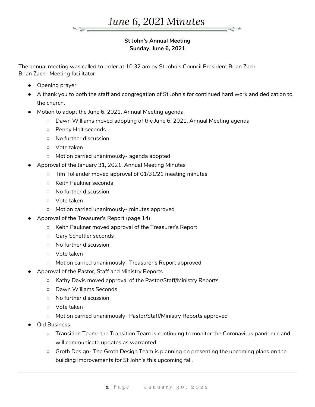

#### **St John's Annual Meeting Sunday, June 6, 2021**

The annual meeting was called to order at 10:32 am by St John's Council President Brian Zach Brian Zach- Meeting facilitator

- Opening prayer
- A thank you to both the staff and congregation of St John's for continued hard work and dedication to the church.
- Motion to adopt the June 6, 2021, Annual Meeting agenda
	- Dawn Williams moved adopting of the June 6, 2021, Annual Meeting agenda
	- Penny Holt seconds
	- No further discussion
	- Vote taken
	- Motion carried unanimously- agenda adopted
- Approval of the January 31, 2021, Annual Meeting Minutes
	- Tim Tollander moved approval of 01/31/21 meeting minutes
	- Keith Paukner seconds
	- No further discussion
	- Vote taken
	- Motion carried unanimously- minutes approved
	- Approval of the Treasurer's Report (page 14)
		- Keith Paukner moved approval of the Treasurer's Report
		- Gary Schettler seconds
		- No further discussion
		- Vote taken
		- Motion carried unanimously- Treasurer's Report approved
- Approval of the Pastor, Staff and Ministry Reports
	- Kathy Davis moved approval of the Pastor/Staff/Ministry Reports
	- Dawn Williams Seconds
	- No further discussion
	- Vote taken
	- Motion carried unanimously- Pastor/Staff/Ministry Reports approved
- Old Business
	- Transition Team- the Transition Team is continuing to monitor the Coronavirus pandemic and will communicate updates as warranted.
	- Groth Design- The Groth Design Team is planning on presenting the upcoming plans on the building improvements for St John's this upcoming fall.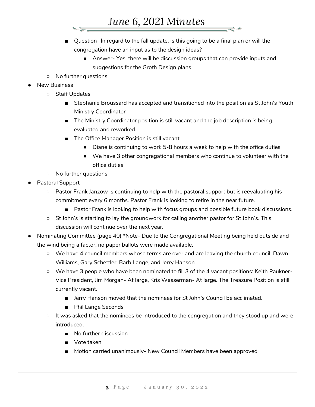- Question- In regard to the fall update, is this going to be a final plan or will the congregation have an input as to the design ideas?
	- Answer- Yes, there will be discussion groups that can provide inputs and suggestions for the Groth Design plans
- No further questions
- **New Business** 
	- Staff Updates
		- Stephanie Broussard has accepted and transitioned into the position as St John's Youth Ministry Coordinator
		- The Ministry Coordinator position is still vacant and the job description is being evaluated and reworked.
		- The Office Manager Position is still vacant
			- Diane is continuing to work 5-8 hours a week to help with the office duties
			- We have 3 other congregational members who continue to volunteer with the office duties
	- No further questions
- Pastoral Support
	- Pastor Frank Janzow is continuing to help with the pastoral support but is reevaluating his commitment every 6 months. Pastor Frank is looking to retire in the near future.
		- Pastor Frank is looking to help with focus groups and possible future book discussions.
	- St John's is starting to lay the groundwork for calling another pastor for St John's. This discussion will continue over the next year.
- Nominating Committee (page 40) \*Note- Due to the Congregational Meeting being held outside and the wind being a factor, no paper ballots were made available.
	- We have 4 council members whose terms are over and are leaving the church council: Dawn Williams, Gary Schettler, Barb Lange, and Jerry Hanson
	- We have 3 people who have been nominated to fill 3 of the 4 vacant positions: Keith Paukner-Vice President, Jim Morgan- At large, Kris Wasserman- At large. The Treasure Position is still currently vacant.
		- Jerry Hanson moved that the nominees for St John's Council be acclimated.
		- Phil Lange Seconds
	- $\circ$  It was asked that the nominees be introduced to the congregation and they stood up and were introduced.
		- No further discussion
		- Vote taken
		- Motion carried unanimously- New Council Members have been approved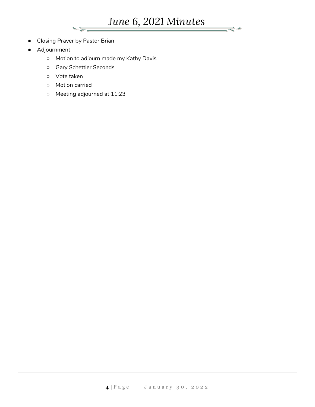*June 6, 2021 Minutes*

خيخ

- Closing Prayer by Pastor Brian
- Adjournment
	- Motion to adjourn made my Kathy Davis
	- Gary Schettler Seconds
	- Vote taken
	- Motion carried
	- Meeting adjourned at 11:23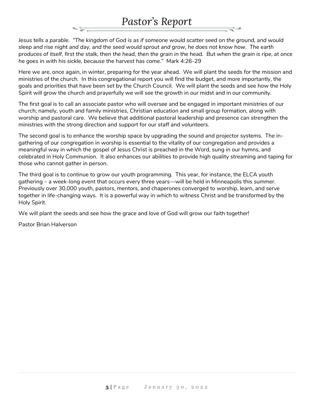## *Pastor's Report*

*Jesus tells a parable. "The kingdom of God is as if someone would scatter seed on the ground, and would sleep and rise night and day, and the seed would sprout and grow, he does not know how. The earth produces of itself, first the stalk, then the head, then the grain in the head. But when the grain is ripe, at once he goes in with his sickle, because the harvest has come."* Mark 4:26-29

Here we are, once again, in winter, preparing for the year ahead. We will plant the seeds for the mission and ministries of the church. In this congregational report you will find the budget, and more importantly, the goals and priorities that have been set by the Church Council. We will plant the seeds and see how the Holy Spirit will grow the church and prayerfully we will see the growth in our midst and in our community.

The first goal is to call an associate pastor who will oversee and be engaged in important ministries of our church; namely, youth and family ministries, Christian education and small group formation, along with worship and pastoral care. We believe that additional pastoral leadership and presence can strengthen the ministries with the strong direction and support for our staff and volunteers.

The second goal is to enhance the worship space by upgrading the sound and projector systems. The ingathering of our congregation in worship is essential to the vitality of our congregation and provides a meaningful way in which the gospel of Jesus Christ is preached in the Word, sung in our hymns, and celebrated in Holy Communion. It also enhances our abilities to provide high quality streaming and taping for those who cannot gather in person.

The third goal is to continue to grow our youth programming. This year, for instance, the ELCA youth gathering – a week-long event that occurs every three years—will be held in Minneapolis this summer. Previously over 30,000 youth, pastors, mentors, and chaperones converged to worship, learn, and serve together in life-changing ways. It is a powerful way in which to witness Christ and be transformed by the Holy Spirit.

We will plant the seeds and see how the grace and love of God will grow our faith together!

Pastor Brian Halverson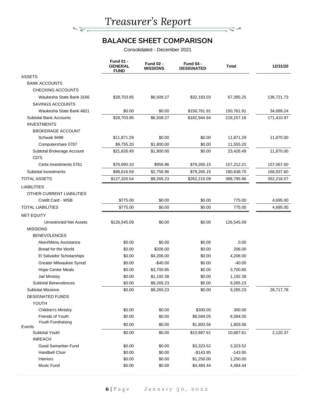**NE** 

## **BALANCE SHEET COMPARISON**

₹∸

Consolidated - December 2021

|                                | <b>Fund 01 -</b><br><b>GENERAL</b><br><b>FUND</b> | <b>Fund 02 -</b><br><b>MISSIONS</b> | <b>Fund 04 -</b><br><b>DESIGNATED</b> | <b>Total</b> | 12/31/20   |
|--------------------------------|---------------------------------------------------|-------------------------------------|---------------------------------------|--------------|------------|
| <b>ASSETS</b>                  |                                                   |                                     |                                       |              |            |
| <b>BANK ACCOUNTS</b>           |                                                   |                                     |                                       |              |            |
| <b>CHECKING ACCOUNTS</b>       |                                                   |                                     |                                       |              |            |
| Waukesha State Bank 3166       | \$28,703.95                                       | \$6,508.27                          | \$32,183.03                           | 67,395.25    | 136,721.73 |
| <b>SAVINGS ACCOUNTS</b>        |                                                   |                                     |                                       |              |            |
| Waukesha State Bank 4821       | \$0.00                                            | \$0.00                              | \$150,761.91                          | 150,761.91   | 34,689.24  |
| <b>Subtotal Bank Accounts</b>  | \$28,703.95                                       | \$6,508.27                          | \$182,944.94                          | 218, 157. 16 | 171,410.97 |
| <b>INVESTMENTS</b>             |                                                   |                                     |                                       |              |            |
| <b>BROKERAGE ACCOUNT</b>       |                                                   |                                     |                                       |              |            |
| Schwab 9498                    | \$11,871.29                                       | \$0.00                              | \$0.00                                | 11,871.29    | 11,870.00  |
| Computershare 0787             | \$9,755.20                                        | \$1,800.00                          | \$0.00                                | 11,555.20    |            |
| Subtotal Brokerage Account     | \$21,626.49                                       | \$1,800.00                          | \$0.00                                | 23,426.49    | 11,870.00  |
| CD'S                           |                                                   |                                     |                                       |              |            |
| Certa Investments 5761         | \$76,990.10                                       | \$956.96                            | \$79,265.15                           | 157,212.21   | 157,067.60 |
| Subtotal Investments           | \$98,616.59                                       | \$2,756.96                          | \$79,265.15                           | 180,638.70   | 168,937.60 |
| <b>TOTAL ASSETS</b>            | \$127,320.54                                      | \$9,265.23                          | \$262,210.09                          | 398,795.86   | 352,218.57 |
| <b>LIABILITIES</b>             |                                                   |                                     |                                       |              |            |
| OTHER CURRENT LIABILITIES      |                                                   |                                     |                                       |              |            |
| Credit Card - WSB              | \$775.00                                          | \$0.00                              | \$0.00                                | 775.00       | 4,695.00   |
| <b>TOTAL LIABILITIES</b>       | \$775.00                                          | \$0.00                              | \$0.00                                | 775.00       | 4,695.00   |
| <b>NET EQUITY</b>              |                                                   |                                     |                                       |              |            |
| <b>Unrestricted Net Assets</b> | \$126,545.09                                      | \$0.00                              | \$0.00                                | 126,545.09   |            |
| <b>MISSIONS</b>                |                                                   |                                     |                                       |              |            |
| <b>BENEVOLENCES</b>            |                                                   |                                     |                                       |              |            |
| Akeri/Menu Assistance          | \$0.00                                            | \$0.00                              | \$0.00                                | 0.00         |            |
| Bread for the World            | \$0.00                                            | \$206.00                            | \$0.00                                | 206.00       |            |
| El Salvador Scholarships       | \$0.00                                            | \$4,206.00                          | \$0.00                                | 4,206.00     |            |
| Greater Milwaukee Synod        | \$0.00                                            | $-$40.00$                           | \$0.00                                | $-40.00$     |            |
| <b>Hope Center Meals</b>       | \$0.00                                            | \$3,700.85                          | \$0.00                                | 3,700.85     |            |
| Jail Ministry                  | \$0.00                                            | \$1,192.38                          | \$0.00                                | 1,192.38     |            |
| Subtotal Benevolences          | \$0.00                                            | \$9,265.23                          | \$0.00                                | 9,265.23     |            |
| <b>Subtotal Missions</b>       | \$0.00                                            | \$9,265.23                          | \$0.00                                | 9,265.23     | 26,717.78  |
| <b>DESIGNATED FUNDS</b>        |                                                   |                                     |                                       |              |            |
| YOUTH                          |                                                   |                                     |                                       |              |            |
| <b>Children's Ministry</b>     | \$0.00                                            | \$0.00                              | \$300.00                              | 300.00       |            |
| Friends of Youth               | \$0.00                                            | \$0.00                              | \$8,584.05                            | 8,584.05     |            |
| Youth Fundraising              | \$0.00                                            | \$0.00                              | \$1,803.56                            | 1,803.56     |            |
| Events<br>Subtotal Youth       | \$0.00                                            | \$0.00                              | \$10,687.61                           | 10,687.61    | 2,120.37   |
| <b>INREACH</b>                 |                                                   |                                     |                                       |              |            |
| Good Samaritan Fund            | \$0.00                                            | \$0.00                              | \$3,323.52                            | 3,323.52     |            |
| Handbell Choir                 | \$0.00                                            | \$0.00                              | $-$143.95$                            | $-143.95$    |            |
| Interiors                      | \$0.00                                            | \$0.00                              | \$1,250.00                            | 1,250.00     |            |
| Music Fund                     | \$0.00                                            | \$0.00                              | \$4,484.44                            | 4,484.44     |            |
|                                |                                                   |                                     |                                       |              |            |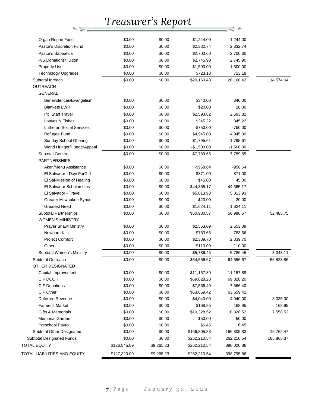| Organ Repair Fund               | \$0.00       | \$0.00     | \$1,244.00   | 1,244.00    |            |
|---------------------------------|--------------|------------|--------------|-------------|------------|
| Pastor's Discretion Fund        | \$0.00       | \$0.00     | \$2,332.74   | 2,332.74    |            |
| Pastor's Sabbatical             | \$0.00       | \$0.00     | \$2,700.60   | 2,700.60    |            |
| P/S Donations/Tuition           | \$0.00       | \$0.00     | \$2,745.90   | 2,745.90    |            |
| <b>Property Use</b>             | \$0.00       | \$0.00     | \$1,500.00   | 1,500.00    |            |
| <b>Technology Upgrades</b>      | \$0.00       | \$0.00     | \$723.18     | 723.18      |            |
| Subtotal Inreach                | \$0.00       | \$0.00     | \$20,160.43  | 20,160.43   | 114,574.04 |
| <b>OUTREACH</b>                 |              |            |              |             |            |
| <b>GENERAL</b>                  |              |            |              |             |            |
| Benevolences/Evangelism         | \$0.00       | \$0.00     | \$340.00     | 340.00      |            |
| <b>Blankets LWR</b>             | \$0.00       | \$0.00     | \$20.00      | 20.00       |            |
| Int'l Staff Travel              | \$0.00       | \$0.00     | \$2,593.82   | 2,593.82    |            |
| Loaves & Fishes                 | \$0.00       | \$0.00     | \$345.22     | 345.22      |            |
| <b>Lutheran Social Services</b> | \$0.00       | \$0.00     | $-$750.00$   | $-750.00$   |            |
| Refugee Fund                    | \$0.00       | \$0.00     | \$4,945.00   | 4,945.00    |            |
| Sunday School Offering          | \$0.00       | \$0.00     | \$1,795.61   | 1,795.61    |            |
| World Hunger/HungerAppeal       | \$0.00       | \$0.00     | $-$1,500.00$ | $-1,500.00$ |            |
| <b>Subtotal General</b>         | \$0.00       | \$0.00     | \$7,789.65   | 7,789.65    |            |
| <b>PARTNERSHIPS</b>             |              |            |              |             |            |
| Akeri/Menu Assistance           | \$0.00       | \$0.00     | $-$958.64$   | $-958.64$   |            |
| El Salvador - DaysForGirl       | \$0.00       | \$0.00     | \$871.00     | 871.00      |            |
| El Sal-Mission of Healing       | \$0.00       | \$0.00     | \$45.00      | 45.00       |            |
| El Salvador Scholarships        | \$0.00       | \$0.00     | \$44,365.17  | 44,365.17   |            |
| El Salvador - Travel            | \$0.00       | \$0.00     | \$5,013.93   | 5,013.93    |            |
| Greater Milwaukee Synod         | \$0.00       | \$0.00     | \$20.00      | 20.00       |            |
| <b>Greatest Need</b>            | \$0.00       | \$0.00     | \$1,624.11   | 1,624.11    |            |
| Subtotal Partnerships           | \$0.00       | \$0.00     | \$50,980.57  | 50,980.57   | 52,485.75  |
| <b>WOMEN'S MINISTRY</b>         |              |            |              |             |            |
| <b>Prayer Shawl Ministry</b>    | \$0.00       | \$0.00     | \$2,553.09   | 2,553.09    |            |
| Newborn Kits                    | \$0.00       | \$0.00     | \$783.66     | 783.66      |            |
| <b>Project Comfort</b>          | \$0.00       | \$0.00     | \$2,339.70   | 2,339.70    |            |
| Other                           | \$0.00       | \$0.00     | \$110.00     | 110.00      |            |
| Subtotal Women's Ministry       | \$0.00       | \$0.00     | \$5,786.45   | 5,786.45    | 3,043.11   |
| Subtotal Outreach               | \$0.00       | \$0.00     | \$64,556.67  | 64,556.67   | 55,528.86  |
| OTHER DESIGNATED                |              |            |              |             |            |
| Capital Improvement             | \$0.00       | \$0.00     | \$11,157.89  | 11,157.89   |            |
| CIF DCOH                        | \$0.00       | \$0.00     | \$69,828.20  | 69,828.20   |            |
| <b>CIF Donations</b>            | \$0.00       | \$0.00     | \$7,566.40   | 7,566.40    |            |
| CIF Other                       | \$0.00       | \$0.00     | \$63,659.42  | 63,659.42   |            |
| Deferred Revenue                | \$0.00       | \$0.00     | \$4,040.00   | 4,040.00    | 8,035.00   |
| Farmer's Market                 | \$0.00       | \$0.00     | \$168.95     | 168.95      | 168.95     |
| Gifts & Memorials               | \$0.00       | \$0.00     | \$10,328.52  | 10,328.52   | 7,558.52   |
| Memorial Garden                 | \$0.00       | \$0.00     | \$50.00      | 50.00       |            |
| Preschool Payroll               | \$0.00       | \$0.00     | \$6.45       | 6.45        |            |
| Subtotal Other Designated       | \$0.00       | \$0.00     | \$166,805.83 | 166,805.83  | 15,762.47  |
| Subtotal Designated Funds       | \$0.00       | \$0.00     | \$262,210.54 | 262,210.54  | 185,865.37 |
| TOTAL EQUITY                    | \$126,545.09 | \$9,265.23 | \$262,210.54 | 398,020.86  |            |
| TOTAL LIABILITIES AND EQUITY    | \$127,320.09 | \$9,265.23 | \$262,210.54 | 398,795.86  |            |
|                                 |              |            |              |             |            |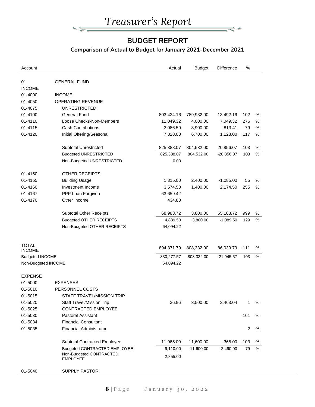

## **BUDGET REPORT**

مي∸

### **Comparison of Actual to Budget for January 2021-December 2021**

| Account                |                                            | Actual     | <b>Budget</b> | <b>Difference</b> | %   |      |
|------------------------|--------------------------------------------|------------|---------------|-------------------|-----|------|
| 01                     | <b>GENERAL FUND</b>                        |            |               |                   |     |      |
| <b>INCOME</b>          |                                            |            |               |                   |     |      |
| 01-4000                | <b>INCOME</b>                              |            |               |                   |     |      |
| 01-4050                | OPERATING REVENUE                          |            |               |                   |     |      |
| 01-4075                | <b>UNRESTRICTED</b>                        |            |               |                   |     |      |
| 01-4100                | <b>General Fund</b>                        | 803,424.16 | 789,932.00    | 13,492.16         | 102 | %    |
| 01-4110                | Loose Checks-Non-Members                   | 11,049.32  | 4,000.00      | 7,049.32          | 276 | %    |
| 01-4115                | <b>Cash Contributions</b>                  | 3,086.59   | 3,900.00      | $-813.41$         | 79  | $\%$ |
| 01-4120                | Initial Offering/Seasonal                  | 7,828.00   | 6,700.00      | 1,128.00          | 117 | %    |
|                        | <b>Subtotal Unrestricted</b>               | 825,388.07 | 804,532.00    | 20,856.07         | 103 | %    |
|                        | <b>Budgeted UNRESTRICTED</b>               | 825,388.07 | 804,532.00    | $-20,856.07$      | 103 | %    |
|                        | Non-Budgeted UNRESTRICTED                  | 0.00       |               |                   |     |      |
| 01-4150                | <b>OTHER RECEIPTS</b>                      |            |               |                   |     |      |
| 01-4155                | <b>Building Usage</b>                      | 1,315.00   | 2,400.00      | $-1,085.00$       | 55  | %    |
| 01-4160                | Investment Income                          | 3,574.50   | 1,400.00      | 2,174.50          | 255 | $\%$ |
| 01-4167                | PPP Loan Forgiven                          | 63,659.42  |               |                   |     |      |
| 01-4170                | Other Income                               | 434.80     |               |                   |     |      |
|                        | <b>Subtotal Other Receipts</b>             | 68,983.72  | 3,800.00      | 65,183.72         | 999 | $\%$ |
|                        | <b>Budgeted OTHER RECEIPTS</b>             | 4,889.50   | 3,800.00      | $-1,089.50$       | 129 | %    |
|                        | Non-Budgeted OTHER RECEIPTS                | 64,094.22  |               |                   |     |      |
|                        |                                            |            |               |                   |     |      |
| <b>TOTAL</b>           |                                            | 894,371.79 | 808,332.00    | 86,039.79         | 111 | ℅    |
| <b>INCOME</b>          |                                            |            |               |                   |     |      |
| <b>Budgeted INCOME</b> |                                            | 830,277.57 | 808,332.00    | $-21,945.57$      | 103 | %    |
| Non-Budgeted INCOME    |                                            | 64,094.22  |               |                   |     |      |
| <b>EXPENSE</b>         |                                            |            |               |                   |     |      |
| 01-5000                | <b>EXPENSES</b>                            |            |               |                   |     |      |
| 01-5010                | PERSONNEL COSTS                            |            |               |                   |     |      |
| 01-5015                | STAFF TRAVEL/MISSION TRIP                  |            |               |                   |     |      |
| 01-5020                | <b>Staff Travel/Mission Trip</b>           | 36.96      | 3,500.00      | 3,463.04          | 1   | ℅    |
| 01-5025                | CONTRACTED EMPLOYEE                        |            |               |                   |     |      |
| 01-5030                | Pastoral Assistant                         |            |               |                   | 161 | ℅    |
| 01-5034                | <b>Financial Consultant</b>                |            |               |                   |     |      |
| 01-5035                | <b>Financial Administrator</b>             |            |               |                   | 2   | %    |
|                        | Subtotal Contracted Employee               | 11,965.00  | 11,600.00     | $-365.00$         | 103 | ℅    |
|                        | Budgeted CONTRACTED EMPLOYEE               | 9,110.00   | 11,600.00     | 2,490.00          | 79  | %    |
|                        | Non-Budgeted CONTRACTED<br><b>EMPLOYEE</b> | 2,855.00   |               |                   |     |      |
| 01-5040                | <b>SUPPLY PASTOR</b>                       |            |               |                   |     |      |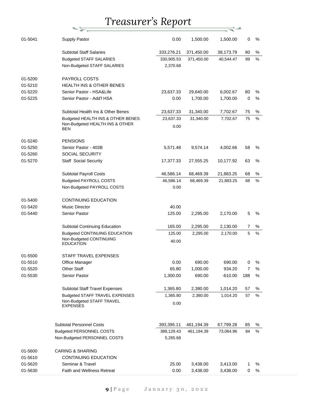九国

| 01-5041 | <b>Supply Pastor</b>                  | 0.00       | 1,500.00   | 1,500.00  | 0              | %    |
|---------|---------------------------------------|------------|------------|-----------|----------------|------|
|         | <b>Subtotal Staff Salaries</b>        | 333,276.21 | 371,450.00 | 38,173.79 | 90             | ℅    |
|         | <b>Budgeted STAFF SALARIES</b>        | 330,905.53 | 371,450.00 | 40,544.47 | 89             | %    |
|         | Non-Budgeted STAFF SALARIES           | 2,370.68   |            |           |                |      |
| 01-5200 | PAYROLL COSTS                         |            |            |           |                |      |
| 01-5210 | <b>HEALTH INS &amp; OTHER BENES</b>   |            |            |           |                |      |
| 01-5220 | Senior Pastor - HSA&Life              | 23,637.33  | 29,640.00  | 6,002.67  | 80             | %    |
| 01-5225 | Senior Pastor - Add'l HSA             | 0.00       | 1,700.00   | 1,700.00  | $\mathbf 0$    | %    |
|         | Subtotal Health Ins & Other Benes     | 23,637.33  | 31,340.00  | 7,702.67  | 75             | %    |
|         | Budgeted HEALTH INS & OTHER BENES     | 23,637.33  | 31,340.00  | 7,702.67  | 75             | %    |
|         | Non-Budgeted HEALTH INS & OTHER       | 0.00       |            |           |                |      |
|         | BEN                                   |            |            |           |                |      |
| 01-5240 | <b>PENSIONS</b>                       |            |            |           |                |      |
| 01-5250 | Senior Pastor - 403B                  | 5,571.48   | 9,574.14   | 4,002.66  | 58             | %    |
| 01-5260 | <b>SOCIAL SECURITY</b>                |            |            |           |                |      |
| 01-5270 | <b>Staff Social Security</b>          | 17,377.33  | 27,555.25  | 10,177.92 | 63             | %    |
|         | Subtotal Payroll Costs                | 46,586.14  | 68,469.39  | 21,883.25 | 68             | ℅    |
|         | <b>Budgeted PAYROLL COSTS</b>         | 46,586.14  | 68,469.39  | 21,883.25 | 68             | %    |
|         | Non-Budgeted PAYROLL COSTS            | 0.00       |            |           |                |      |
| 01-5400 | <b>CONTINUING EDUCATION</b>           |            |            |           |                |      |
| 01-5420 | <b>Music Director</b>                 | 40.00      |            |           |                |      |
| 01-5440 | Senior Pastor                         | 125.00     | 2,295.00   | 2,170.00  | 5              | %    |
|         | <b>Subtotal Continuing Education</b>  | 165.00     | 2,295.00   | 2,130.00  | 7              | %    |
|         | Budgeted CONTINUING EDUCATION         | 125.00     | 2,295.00   | 2,170.00  | 5              | %    |
|         | Non-Budgeted CONTINUING               |            |            |           |                |      |
|         | <b>EDUCATION</b>                      | 40.00      |            |           |                |      |
| 01-5500 | STAFF TRAVEL EXPENSES                 |            |            |           |                |      |
| 01-5510 | Office Manager                        | 0.00       | 690.00     | 690.00    | 0              | %    |
| 01-5520 | Other Staff                           | 65.80      | 1,000.00   | 934.20    | $\overline{7}$ | ℅    |
| 01-5530 | Senior Pastor                         | 1,300.00   | 690.00     | $-610.00$ | 188            | $\%$ |
|         | <b>Subtotal Staff Travel Expenses</b> | 1,365.80   | 2,380.00   | 1,014.20  | 57             | %    |
|         | Budgeted STAFF TRAVEL EXPENSES        | 1,365.80   | 2,380.00   | 1,014.20  | 57             | %    |
|         | Non-Budgeted STAFF TRAVEL             | 0.00       |            |           |                |      |
|         | <b>EXPENSES</b>                       |            |            |           |                |      |
|         |                                       |            |            |           |                |      |
|         | <b>Subtotal Personnel Costs</b>       | 393,395.11 | 461,194.39 | 67,799.28 | 85             | %    |
|         | <b>Budgeted PERSONNEL COSTS</b>       | 388,129.43 | 461,194.39 | 73,064.96 | 84             | %    |
|         | Non-Budgeted PERSONNEL COSTS          | 5,265.68   |            |           |                |      |
| 01-5600 | <b>CARING &amp; SHARING</b>           |            |            |           |                |      |
| 01-5610 | <b>CONTINUING EDUCATION</b>           |            |            |           |                |      |
| 01-5620 | Seminar & Travel                      | 25.00      | 3,438.00   | 3,413.00  | 1              | %    |
| 01-5630 | Faith and Wellness Retreat            | 0.00       | 3,438.00   | 3,438.00  | 0              | %    |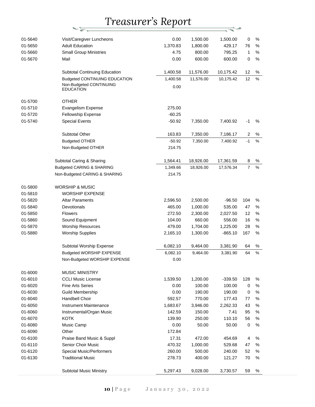一定

| 01-5640 | Visit/Caregiver Luncheons                   | 0.00     | 1,500.00  | 1,500.00  | $\pmb{0}$        | %    |
|---------|---------------------------------------------|----------|-----------|-----------|------------------|------|
| 01-5650 | <b>Adult Education</b>                      | 1,370.83 | 1,800.00  | 429.17    | 76               | $\%$ |
| 01-5660 | <b>Small Group Ministries</b>               | 4.75     | 800.00    | 795.25    | 1                | %    |
| 01-5670 | Mail                                        | 0.00     | 600.00    | 600.00    | 0                | $\%$ |
|         | <b>Subtotal Continuing Education</b>        | 1,400.58 | 11,576.00 | 10,175.42 | 12               | $\%$ |
|         | <b>Budgeted CONTINUING EDUCATION</b>        | 1,400.58 | 11,576.00 | 10,175.42 | 12               | %    |
|         | Non-Budgeted CONTINUING<br><b>EDUCATION</b> | 0.00     |           |           |                  |      |
| 01-5700 | <b>OTHER</b>                                |          |           |           |                  |      |
| 01-5710 | <b>Evangelism Expense</b>                   | 275.00   |           |           |                  |      |
| 01-5720 | <b>Fellowship Expense</b>                   | $-60.25$ |           |           |                  |      |
| 01-5740 | <b>Special Events</b>                       | $-50.92$ | 7,350.00  | 7,400.92  | $-1$             | %    |
|         |                                             |          |           |           |                  |      |
|         | Subtotal Other                              | 163.83   | 7,350.00  | 7,186.17  | $\overline{c}$   | %    |
|         | <b>Budgeted OTHER</b>                       | $-50.92$ | 7,350.00  | 7,400.92  | $-1$             | %    |
|         | Non-Budgeted OTHER                          | 214.75   |           |           |                  |      |
|         | Subtotal Caring & Sharing                   | 1,564.41 | 18,926.00 | 17,361.59 | 8                | $\%$ |
|         | <b>Budgeted CARING &amp; SHARING</b>        | 1,349.66 | 18,926.00 | 17,576.34 | $\boldsymbol{7}$ | $\%$ |
|         | Non-Budgeted CARING & SHARING               | 214.75   |           |           |                  |      |
| 01-5800 | <b>WORSHIP &amp; MUSIC</b>                  |          |           |           |                  |      |
| 01-5810 | <b>WORSHIP EXPENSE</b>                      |          |           |           |                  |      |
| 01-5820 | <b>Altar Paraments</b>                      | 2,596.50 | 2,500.00  | $-96.50$  | 104              | %    |
| 01-5840 | Devotionals                                 | 465.00   | 1,000.00  | 535.00    | 47               | %    |
| 01-5850 | <b>Flowers</b>                              | 272.50   | 2,300.00  | 2,027.50  | 12               | %    |
| 01-5860 | Sound Equipment                             | 104.00   | 660.00    | 556.00    | 16               | $\%$ |
| 01-5870 | <b>Worship Resources</b>                    | 479.00   | 1,704.00  | 1,225.00  | 28               | %    |
| 01-5880 | <b>Worship Supplies</b>                     | 2,165.10 | 1,300.00  | $-865.10$ | 167              | %    |
|         | Subtotal Worship Expense                    | 6,082.10 | 9,464.00  | 3,381.90  | 64               | $\%$ |
|         | Budgeted WORSHIP EXPENSE                    | 6,082.10 | 9,464.00  | 3,381.90  | 64               | %    |
|         | Non-Budgeted WORSHIP EXPENSE                | 0.00     |           |           |                  |      |
|         |                                             |          |           |           |                  |      |
| 01-6000 | <b>MUSIC MINISTRY</b>                       |          |           |           |                  |      |
| 01-6010 | <b>CCLI Music License</b>                   | 1,539.50 | 1,200.00  | $-339.50$ | 128              | $\%$ |
| 01-6020 | <b>Fine Arts Series</b>                     | 0.00     | 100.00    | 100.00    | 0                | %    |
| 01-6030 | <b>Guild Membership</b>                     | 0.00     | 190.00    | 190.00    | 0                | $\%$ |
| 01-6040 | Handbell Choir                              | 592.57   | 770.00    | 177.43    | 77               | %    |
| 01-6050 | Instrument Maintenance                      | 1,683.67 | 3,946.00  | 2,262.33  | 43               | $\%$ |
| 01-6060 | Instrumental/Organ Music                    | 142.59   | 150.00    | 7.41      | 95               | %    |
| 01-6070 | <b>KOTK</b>                                 | 139.90   | 250.00    | 110.10    | 56               | $\%$ |
| 01-6080 | Music Camp                                  | 0.00     | 50.00     | 50.00     | $\mathbf 0$      | %    |
| 01-6090 | Other                                       | 172.84   |           |           |                  |      |
| 01-6100 | Praise Band Music & Suppl                   | 17.31    | 472.00    | 454.69    | 4                | %    |
| 01-6110 | <b>Senior Choir Music</b>                   | 470.32   | 1,000.00  | 529.68    | 47               | $\%$ |
| 01-6120 | <b>Special Music/Performers</b>             | 260.00   | 500.00    | 240.00    | 52               | %    |
| 01-6130 | <b>Traditional Music</b>                    | 278.73   | 400.00    | 121.27    | 70               | %    |
|         | <b>Subtotal Music Ministry</b>              | 5,297.43 | 9,028.00  | 3,730.57  | 59               | %    |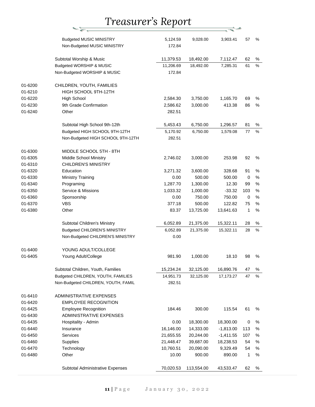| <b>Budgeted MUSIC MINISTRY</b><br>5,124.59<br>9,028.00<br>3,903.41<br>57<br>%<br>Non-Budgeted MUSIC MINISTRY<br>172.84<br>62<br>Subtotal Worship & Music<br>11,379.53<br>18,492.00<br>7,112.47<br>%<br>Budgeted WORSHIP & MUSIC<br>11,206.69<br>18,492.00<br>%<br>7,285.31<br>61<br>Non-Budgeted WORSHIP & MUSIC<br>172.84<br>01-6200<br>CHILDREN, YOUTH, FAMILIES<br>01-6210<br>HIGH SCHOOL 9TH-12TH<br>01-6220<br><b>High School</b><br>2,584.30<br>3,750.00<br>1,165.70<br>69<br>%<br>01-6230<br>9th Grade Confirmation<br>2,586.62<br>413.38<br>86<br>$\%$<br>3,000.00<br>01-6240<br>Other<br>282.51<br>Subtotal High School 9th-12th<br>5,453.43<br>6,750.00<br>1,296.57<br>81<br>%<br>6,750.00<br>1,579.08<br>77<br>%<br>Budgeted HIGH SCHOOL 9TH-12TH<br>5,170.92<br>Non-Budgeted HIGH SCHOOL 9TH-12TH<br>282.51<br>01-6300<br>MIDDLE SCHOOL 5TH - 8TH<br>01-6305<br>Middle School Ministry<br>92<br>%<br>2,746.02<br>3,000.00<br>253.98<br><b>CHILDREN'S MINISTRY</b><br>01-6310<br>01-6320<br>Education<br>3,271.32<br>3,600.00<br>328.68<br>91<br>%<br>01-6330<br>Ministry Training<br>0.00<br>500.00<br>$\%$<br>500.00<br>0<br>01-6340<br>Programing<br>1,287.70<br>1,300.00<br>%<br>12.30<br>99<br>Service & Missions<br>01-6350<br>1,033.32<br>1,000.00<br>$-33.32$<br>103<br>%<br>01-6360<br>Sponsorship<br>0.00<br>750.00<br>750.00<br>$\mathbf 0$<br>%<br><b>VBS</b><br>01-6370<br>377.18<br>500.00<br>122.82<br>75<br>$\%$<br>$\%$<br>01-6380<br>1<br>Other<br>83.37<br>13,725.00<br>13,641.63<br>28<br>$\%$<br>Subtotal Children's Ministry<br>6,052.89<br>21,375.00<br>15,322.11<br>6,052.89<br>21,375.00<br>%<br>Budgeted CHILDREN'S MINISTRY<br>15,322.11<br>28<br>Non-Budgeted CHILDREN'S MINISTRY<br>0.00<br>01-6400<br>YOUNG ADULT/COLLEGE<br>01-6405<br>Young Adult/College<br>981.90<br>1,000.00<br>18.10<br>98<br>%<br>Subtotal Children, Youth, Families<br>15,234.24<br>32,125.00<br>16,890.76<br>47<br>%<br>Budgeted CHILDREN, YOUTH, FAMILIES<br>47<br>$\%$<br>14,951.73<br>32,125.00<br>17,173.27<br>Non-Budgeted CHILDREN, YOUTH, FAMIL<br>282.51<br>01-6410<br>ADMINISTRATIVE EXPENSES<br>01-6420<br><b>EMPLOYEE RECOGNITION</b><br>01-6425<br><b>Employee Recognition</b><br>61<br>184.46<br>300.00<br>115.54<br>%<br>ADMINISTRATIVE EXPENSES<br>01-6430<br>01-6435<br>18,300.00<br>Hospitality - Admin<br>0.00<br>18,300.00<br>0<br>%<br>01-6440<br>16,146.00<br>14,333.00<br>$-1,813.00$<br>113<br>$\%$<br>Insurance<br>01-6450<br>Services<br>107<br>$\%$<br>21,655.55<br>20,244.00<br>$-1,411.55$<br>01-6460<br>Supplies<br>21,448.47<br>54<br>$\%$<br>39,687.00<br>18,238.53<br>01-6470<br>Technology<br>10,760.51<br>9,329.49<br>54<br>$\%$<br>20,090.00<br>01-6480<br>Other<br>900.00<br>890.00<br>1<br>$\%$<br>10.00<br>70,020.53<br>113,554.00<br>Subtotal Administrative Expenses<br>43,533.47<br>62<br>% |  |  |  |  |
|--------------------------------------------------------------------------------------------------------------------------------------------------------------------------------------------------------------------------------------------------------------------------------------------------------------------------------------------------------------------------------------------------------------------------------------------------------------------------------------------------------------------------------------------------------------------------------------------------------------------------------------------------------------------------------------------------------------------------------------------------------------------------------------------------------------------------------------------------------------------------------------------------------------------------------------------------------------------------------------------------------------------------------------------------------------------------------------------------------------------------------------------------------------------------------------------------------------------------------------------------------------------------------------------------------------------------------------------------------------------------------------------------------------------------------------------------------------------------------------------------------------------------------------------------------------------------------------------------------------------------------------------------------------------------------------------------------------------------------------------------------------------------------------------------------------------------------------------------------------------------------------------------------------------------------------------------------------------------------------------------------------------------------------------------------------------------------------------------------------------------------------------------------------------------------------------------------------------------------------------------------------------------------------------------------------------------------------------------------------------------------------------------------------------------------------------------------------------------------------------------------------------------------------------------------------------------------------------------------------------------------------------------------------------------------------------------------------------------------------------------------------------------------------------------------------------------------------------------------|--|--|--|--|
|                                                                                                                                                                                                                                                                                                                                                                                                                                                                                                                                                                                                                                                                                                                                                                                                                                                                                                                                                                                                                                                                                                                                                                                                                                                                                                                                                                                                                                                                                                                                                                                                                                                                                                                                                                                                                                                                                                                                                                                                                                                                                                                                                                                                                                                                                                                                                                                                                                                                                                                                                                                                                                                                                                                                                                                                                                                        |  |  |  |  |
|                                                                                                                                                                                                                                                                                                                                                                                                                                                                                                                                                                                                                                                                                                                                                                                                                                                                                                                                                                                                                                                                                                                                                                                                                                                                                                                                                                                                                                                                                                                                                                                                                                                                                                                                                                                                                                                                                                                                                                                                                                                                                                                                                                                                                                                                                                                                                                                                                                                                                                                                                                                                                                                                                                                                                                                                                                                        |  |  |  |  |
|                                                                                                                                                                                                                                                                                                                                                                                                                                                                                                                                                                                                                                                                                                                                                                                                                                                                                                                                                                                                                                                                                                                                                                                                                                                                                                                                                                                                                                                                                                                                                                                                                                                                                                                                                                                                                                                                                                                                                                                                                                                                                                                                                                                                                                                                                                                                                                                                                                                                                                                                                                                                                                                                                                                                                                                                                                                        |  |  |  |  |
|                                                                                                                                                                                                                                                                                                                                                                                                                                                                                                                                                                                                                                                                                                                                                                                                                                                                                                                                                                                                                                                                                                                                                                                                                                                                                                                                                                                                                                                                                                                                                                                                                                                                                                                                                                                                                                                                                                                                                                                                                                                                                                                                                                                                                                                                                                                                                                                                                                                                                                                                                                                                                                                                                                                                                                                                                                                        |  |  |  |  |
|                                                                                                                                                                                                                                                                                                                                                                                                                                                                                                                                                                                                                                                                                                                                                                                                                                                                                                                                                                                                                                                                                                                                                                                                                                                                                                                                                                                                                                                                                                                                                                                                                                                                                                                                                                                                                                                                                                                                                                                                                                                                                                                                                                                                                                                                                                                                                                                                                                                                                                                                                                                                                                                                                                                                                                                                                                                        |  |  |  |  |
|                                                                                                                                                                                                                                                                                                                                                                                                                                                                                                                                                                                                                                                                                                                                                                                                                                                                                                                                                                                                                                                                                                                                                                                                                                                                                                                                                                                                                                                                                                                                                                                                                                                                                                                                                                                                                                                                                                                                                                                                                                                                                                                                                                                                                                                                                                                                                                                                                                                                                                                                                                                                                                                                                                                                                                                                                                                        |  |  |  |  |
|                                                                                                                                                                                                                                                                                                                                                                                                                                                                                                                                                                                                                                                                                                                                                                                                                                                                                                                                                                                                                                                                                                                                                                                                                                                                                                                                                                                                                                                                                                                                                                                                                                                                                                                                                                                                                                                                                                                                                                                                                                                                                                                                                                                                                                                                                                                                                                                                                                                                                                                                                                                                                                                                                                                                                                                                                                                        |  |  |  |  |
|                                                                                                                                                                                                                                                                                                                                                                                                                                                                                                                                                                                                                                                                                                                                                                                                                                                                                                                                                                                                                                                                                                                                                                                                                                                                                                                                                                                                                                                                                                                                                                                                                                                                                                                                                                                                                                                                                                                                                                                                                                                                                                                                                                                                                                                                                                                                                                                                                                                                                                                                                                                                                                                                                                                                                                                                                                                        |  |  |  |  |
|                                                                                                                                                                                                                                                                                                                                                                                                                                                                                                                                                                                                                                                                                                                                                                                                                                                                                                                                                                                                                                                                                                                                                                                                                                                                                                                                                                                                                                                                                                                                                                                                                                                                                                                                                                                                                                                                                                                                                                                                                                                                                                                                                                                                                                                                                                                                                                                                                                                                                                                                                                                                                                                                                                                                                                                                                                                        |  |  |  |  |
|                                                                                                                                                                                                                                                                                                                                                                                                                                                                                                                                                                                                                                                                                                                                                                                                                                                                                                                                                                                                                                                                                                                                                                                                                                                                                                                                                                                                                                                                                                                                                                                                                                                                                                                                                                                                                                                                                                                                                                                                                                                                                                                                                                                                                                                                                                                                                                                                                                                                                                                                                                                                                                                                                                                                                                                                                                                        |  |  |  |  |
|                                                                                                                                                                                                                                                                                                                                                                                                                                                                                                                                                                                                                                                                                                                                                                                                                                                                                                                                                                                                                                                                                                                                                                                                                                                                                                                                                                                                                                                                                                                                                                                                                                                                                                                                                                                                                                                                                                                                                                                                                                                                                                                                                                                                                                                                                                                                                                                                                                                                                                                                                                                                                                                                                                                                                                                                                                                        |  |  |  |  |
|                                                                                                                                                                                                                                                                                                                                                                                                                                                                                                                                                                                                                                                                                                                                                                                                                                                                                                                                                                                                                                                                                                                                                                                                                                                                                                                                                                                                                                                                                                                                                                                                                                                                                                                                                                                                                                                                                                                                                                                                                                                                                                                                                                                                                                                                                                                                                                                                                                                                                                                                                                                                                                                                                                                                                                                                                                                        |  |  |  |  |
|                                                                                                                                                                                                                                                                                                                                                                                                                                                                                                                                                                                                                                                                                                                                                                                                                                                                                                                                                                                                                                                                                                                                                                                                                                                                                                                                                                                                                                                                                                                                                                                                                                                                                                                                                                                                                                                                                                                                                                                                                                                                                                                                                                                                                                                                                                                                                                                                                                                                                                                                                                                                                                                                                                                                                                                                                                                        |  |  |  |  |
|                                                                                                                                                                                                                                                                                                                                                                                                                                                                                                                                                                                                                                                                                                                                                                                                                                                                                                                                                                                                                                                                                                                                                                                                                                                                                                                                                                                                                                                                                                                                                                                                                                                                                                                                                                                                                                                                                                                                                                                                                                                                                                                                                                                                                                                                                                                                                                                                                                                                                                                                                                                                                                                                                                                                                                                                                                                        |  |  |  |  |
|                                                                                                                                                                                                                                                                                                                                                                                                                                                                                                                                                                                                                                                                                                                                                                                                                                                                                                                                                                                                                                                                                                                                                                                                                                                                                                                                                                                                                                                                                                                                                                                                                                                                                                                                                                                                                                                                                                                                                                                                                                                                                                                                                                                                                                                                                                                                                                                                                                                                                                                                                                                                                                                                                                                                                                                                                                                        |  |  |  |  |
|                                                                                                                                                                                                                                                                                                                                                                                                                                                                                                                                                                                                                                                                                                                                                                                                                                                                                                                                                                                                                                                                                                                                                                                                                                                                                                                                                                                                                                                                                                                                                                                                                                                                                                                                                                                                                                                                                                                                                                                                                                                                                                                                                                                                                                                                                                                                                                                                                                                                                                                                                                                                                                                                                                                                                                                                                                                        |  |  |  |  |
|                                                                                                                                                                                                                                                                                                                                                                                                                                                                                                                                                                                                                                                                                                                                                                                                                                                                                                                                                                                                                                                                                                                                                                                                                                                                                                                                                                                                                                                                                                                                                                                                                                                                                                                                                                                                                                                                                                                                                                                                                                                                                                                                                                                                                                                                                                                                                                                                                                                                                                                                                                                                                                                                                                                                                                                                                                                        |  |  |  |  |
|                                                                                                                                                                                                                                                                                                                                                                                                                                                                                                                                                                                                                                                                                                                                                                                                                                                                                                                                                                                                                                                                                                                                                                                                                                                                                                                                                                                                                                                                                                                                                                                                                                                                                                                                                                                                                                                                                                                                                                                                                                                                                                                                                                                                                                                                                                                                                                                                                                                                                                                                                                                                                                                                                                                                                                                                                                                        |  |  |  |  |
|                                                                                                                                                                                                                                                                                                                                                                                                                                                                                                                                                                                                                                                                                                                                                                                                                                                                                                                                                                                                                                                                                                                                                                                                                                                                                                                                                                                                                                                                                                                                                                                                                                                                                                                                                                                                                                                                                                                                                                                                                                                                                                                                                                                                                                                                                                                                                                                                                                                                                                                                                                                                                                                                                                                                                                                                                                                        |  |  |  |  |
|                                                                                                                                                                                                                                                                                                                                                                                                                                                                                                                                                                                                                                                                                                                                                                                                                                                                                                                                                                                                                                                                                                                                                                                                                                                                                                                                                                                                                                                                                                                                                                                                                                                                                                                                                                                                                                                                                                                                                                                                                                                                                                                                                                                                                                                                                                                                                                                                                                                                                                                                                                                                                                                                                                                                                                                                                                                        |  |  |  |  |
|                                                                                                                                                                                                                                                                                                                                                                                                                                                                                                                                                                                                                                                                                                                                                                                                                                                                                                                                                                                                                                                                                                                                                                                                                                                                                                                                                                                                                                                                                                                                                                                                                                                                                                                                                                                                                                                                                                                                                                                                                                                                                                                                                                                                                                                                                                                                                                                                                                                                                                                                                                                                                                                                                                                                                                                                                                                        |  |  |  |  |
|                                                                                                                                                                                                                                                                                                                                                                                                                                                                                                                                                                                                                                                                                                                                                                                                                                                                                                                                                                                                                                                                                                                                                                                                                                                                                                                                                                                                                                                                                                                                                                                                                                                                                                                                                                                                                                                                                                                                                                                                                                                                                                                                                                                                                                                                                                                                                                                                                                                                                                                                                                                                                                                                                                                                                                                                                                                        |  |  |  |  |
|                                                                                                                                                                                                                                                                                                                                                                                                                                                                                                                                                                                                                                                                                                                                                                                                                                                                                                                                                                                                                                                                                                                                                                                                                                                                                                                                                                                                                                                                                                                                                                                                                                                                                                                                                                                                                                                                                                                                                                                                                                                                                                                                                                                                                                                                                                                                                                                                                                                                                                                                                                                                                                                                                                                                                                                                                                                        |  |  |  |  |
|                                                                                                                                                                                                                                                                                                                                                                                                                                                                                                                                                                                                                                                                                                                                                                                                                                                                                                                                                                                                                                                                                                                                                                                                                                                                                                                                                                                                                                                                                                                                                                                                                                                                                                                                                                                                                                                                                                                                                                                                                                                                                                                                                                                                                                                                                                                                                                                                                                                                                                                                                                                                                                                                                                                                                                                                                                                        |  |  |  |  |
|                                                                                                                                                                                                                                                                                                                                                                                                                                                                                                                                                                                                                                                                                                                                                                                                                                                                                                                                                                                                                                                                                                                                                                                                                                                                                                                                                                                                                                                                                                                                                                                                                                                                                                                                                                                                                                                                                                                                                                                                                                                                                                                                                                                                                                                                                                                                                                                                                                                                                                                                                                                                                                                                                                                                                                                                                                                        |  |  |  |  |
|                                                                                                                                                                                                                                                                                                                                                                                                                                                                                                                                                                                                                                                                                                                                                                                                                                                                                                                                                                                                                                                                                                                                                                                                                                                                                                                                                                                                                                                                                                                                                                                                                                                                                                                                                                                                                                                                                                                                                                                                                                                                                                                                                                                                                                                                                                                                                                                                                                                                                                                                                                                                                                                                                                                                                                                                                                                        |  |  |  |  |
|                                                                                                                                                                                                                                                                                                                                                                                                                                                                                                                                                                                                                                                                                                                                                                                                                                                                                                                                                                                                                                                                                                                                                                                                                                                                                                                                                                                                                                                                                                                                                                                                                                                                                                                                                                                                                                                                                                                                                                                                                                                                                                                                                                                                                                                                                                                                                                                                                                                                                                                                                                                                                                                                                                                                                                                                                                                        |  |  |  |  |
|                                                                                                                                                                                                                                                                                                                                                                                                                                                                                                                                                                                                                                                                                                                                                                                                                                                                                                                                                                                                                                                                                                                                                                                                                                                                                                                                                                                                                                                                                                                                                                                                                                                                                                                                                                                                                                                                                                                                                                                                                                                                                                                                                                                                                                                                                                                                                                                                                                                                                                                                                                                                                                                                                                                                                                                                                                                        |  |  |  |  |
|                                                                                                                                                                                                                                                                                                                                                                                                                                                                                                                                                                                                                                                                                                                                                                                                                                                                                                                                                                                                                                                                                                                                                                                                                                                                                                                                                                                                                                                                                                                                                                                                                                                                                                                                                                                                                                                                                                                                                                                                                                                                                                                                                                                                                                                                                                                                                                                                                                                                                                                                                                                                                                                                                                                                                                                                                                                        |  |  |  |  |
|                                                                                                                                                                                                                                                                                                                                                                                                                                                                                                                                                                                                                                                                                                                                                                                                                                                                                                                                                                                                                                                                                                                                                                                                                                                                                                                                                                                                                                                                                                                                                                                                                                                                                                                                                                                                                                                                                                                                                                                                                                                                                                                                                                                                                                                                                                                                                                                                                                                                                                                                                                                                                                                                                                                                                                                                                                                        |  |  |  |  |
|                                                                                                                                                                                                                                                                                                                                                                                                                                                                                                                                                                                                                                                                                                                                                                                                                                                                                                                                                                                                                                                                                                                                                                                                                                                                                                                                                                                                                                                                                                                                                                                                                                                                                                                                                                                                                                                                                                                                                                                                                                                                                                                                                                                                                                                                                                                                                                                                                                                                                                                                                                                                                                                                                                                                                                                                                                                        |  |  |  |  |
|                                                                                                                                                                                                                                                                                                                                                                                                                                                                                                                                                                                                                                                                                                                                                                                                                                                                                                                                                                                                                                                                                                                                                                                                                                                                                                                                                                                                                                                                                                                                                                                                                                                                                                                                                                                                                                                                                                                                                                                                                                                                                                                                                                                                                                                                                                                                                                                                                                                                                                                                                                                                                                                                                                                                                                                                                                                        |  |  |  |  |
|                                                                                                                                                                                                                                                                                                                                                                                                                                                                                                                                                                                                                                                                                                                                                                                                                                                                                                                                                                                                                                                                                                                                                                                                                                                                                                                                                                                                                                                                                                                                                                                                                                                                                                                                                                                                                                                                                                                                                                                                                                                                                                                                                                                                                                                                                                                                                                                                                                                                                                                                                                                                                                                                                                                                                                                                                                                        |  |  |  |  |
|                                                                                                                                                                                                                                                                                                                                                                                                                                                                                                                                                                                                                                                                                                                                                                                                                                                                                                                                                                                                                                                                                                                                                                                                                                                                                                                                                                                                                                                                                                                                                                                                                                                                                                                                                                                                                                                                                                                                                                                                                                                                                                                                                                                                                                                                                                                                                                                                                                                                                                                                                                                                                                                                                                                                                                                                                                                        |  |  |  |  |
|                                                                                                                                                                                                                                                                                                                                                                                                                                                                                                                                                                                                                                                                                                                                                                                                                                                                                                                                                                                                                                                                                                                                                                                                                                                                                                                                                                                                                                                                                                                                                                                                                                                                                                                                                                                                                                                                                                                                                                                                                                                                                                                                                                                                                                                                                                                                                                                                                                                                                                                                                                                                                                                                                                                                                                                                                                                        |  |  |  |  |
|                                                                                                                                                                                                                                                                                                                                                                                                                                                                                                                                                                                                                                                                                                                                                                                                                                                                                                                                                                                                                                                                                                                                                                                                                                                                                                                                                                                                                                                                                                                                                                                                                                                                                                                                                                                                                                                                                                                                                                                                                                                                                                                                                                                                                                                                                                                                                                                                                                                                                                                                                                                                                                                                                                                                                                                                                                                        |  |  |  |  |
|                                                                                                                                                                                                                                                                                                                                                                                                                                                                                                                                                                                                                                                                                                                                                                                                                                                                                                                                                                                                                                                                                                                                                                                                                                                                                                                                                                                                                                                                                                                                                                                                                                                                                                                                                                                                                                                                                                                                                                                                                                                                                                                                                                                                                                                                                                                                                                                                                                                                                                                                                                                                                                                                                                                                                                                                                                                        |  |  |  |  |
|                                                                                                                                                                                                                                                                                                                                                                                                                                                                                                                                                                                                                                                                                                                                                                                                                                                                                                                                                                                                                                                                                                                                                                                                                                                                                                                                                                                                                                                                                                                                                                                                                                                                                                                                                                                                                                                                                                                                                                                                                                                                                                                                                                                                                                                                                                                                                                                                                                                                                                                                                                                                                                                                                                                                                                                                                                                        |  |  |  |  |
|                                                                                                                                                                                                                                                                                                                                                                                                                                                                                                                                                                                                                                                                                                                                                                                                                                                                                                                                                                                                                                                                                                                                                                                                                                                                                                                                                                                                                                                                                                                                                                                                                                                                                                                                                                                                                                                                                                                                                                                                                                                                                                                                                                                                                                                                                                                                                                                                                                                                                                                                                                                                                                                                                                                                                                                                                                                        |  |  |  |  |
|                                                                                                                                                                                                                                                                                                                                                                                                                                                                                                                                                                                                                                                                                                                                                                                                                                                                                                                                                                                                                                                                                                                                                                                                                                                                                                                                                                                                                                                                                                                                                                                                                                                                                                                                                                                                                                                                                                                                                                                                                                                                                                                                                                                                                                                                                                                                                                                                                                                                                                                                                                                                                                                                                                                                                                                                                                                        |  |  |  |  |
|                                                                                                                                                                                                                                                                                                                                                                                                                                                                                                                                                                                                                                                                                                                                                                                                                                                                                                                                                                                                                                                                                                                                                                                                                                                                                                                                                                                                                                                                                                                                                                                                                                                                                                                                                                                                                                                                                                                                                                                                                                                                                                                                                                                                                                                                                                                                                                                                                                                                                                                                                                                                                                                                                                                                                                                                                                                        |  |  |  |  |
|                                                                                                                                                                                                                                                                                                                                                                                                                                                                                                                                                                                                                                                                                                                                                                                                                                                                                                                                                                                                                                                                                                                                                                                                                                                                                                                                                                                                                                                                                                                                                                                                                                                                                                                                                                                                                                                                                                                                                                                                                                                                                                                                                                                                                                                                                                                                                                                                                                                                                                                                                                                                                                                                                                                                                                                                                                                        |  |  |  |  |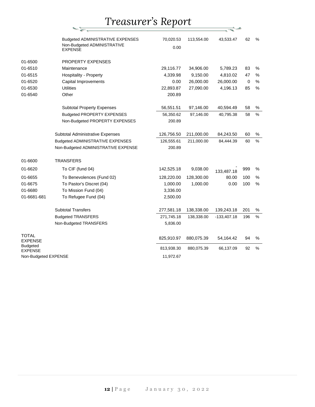$\frac{1}{\sqrt{2}}$ 

|                            | Budgeted ADMINISTRATIVE EXPENSES              | 70,020.53  | 113,554.00 | 43,533.47     | 62          | $\%$ |
|----------------------------|-----------------------------------------------|------------|------------|---------------|-------------|------|
|                            | Non-Budgeted ADMINISTRATIVE<br><b>EXPENSE</b> | 0.00       |            |               |             |      |
|                            |                                               |            |            |               |             |      |
| 01-6500                    | PROPERTY EXPENSES                             |            |            |               |             |      |
| 01-6510                    | Maintenance                                   | 29,116.77  | 34,906.00  | 5,789.23      | 83          | %    |
| 01-6515                    | Hospitality - Property                        | 4,339.98   | 9,150.00   | 4,810.02      | 47          | %    |
| 01-6520                    | Capital Improvements                          | 0.00       | 26,000.00  | 26,000.00     | $\mathbf 0$ | $\%$ |
| 01-6530                    | <b>Utilities</b>                              | 22,893.87  | 27,090.00  | 4,196.13      | 85          | $\%$ |
| 01-6540                    | Other                                         | 200.89     |            |               |             |      |
|                            | <b>Subtotal Property Expenses</b>             | 56,551.51  | 97,146.00  | 40,594.49     | 58          | $\%$ |
|                            | <b>Budgeted PROPERTY EXPENSES</b>             | 56,350.62  | 97,146.00  | 40,795.38     | 58          | $\%$ |
|                            | Non-Budgeted PROPERTY EXPENSES                | 200.89     |            |               |             |      |
|                            |                                               |            |            |               |             |      |
|                            | Subtotal Administrative Expenses              | 126,756.50 | 211,000.00 | 84,243.50     | 60          | %    |
|                            | <b>Budgeted ADMINISTRATIVE EXPENSES</b>       | 126,555.61 | 211,000.00 | 84,444.39     | 60          | $\%$ |
|                            | Non-Budgeted ADMINISTRATIVE EXPENSE           | 200.89     |            |               |             |      |
| 01-6600                    | <b>TRANSFERS</b>                              |            |            |               |             |      |
| 01-6620                    | To CIF (fund 04)                              | 142,525.18 | 9,038.00   | 133,487.18    | 999         | $\%$ |
| 01-6655                    | To Benevolences (Fund 02)                     | 128,220.00 | 128,300.00 | 80.00         | 100         | $\%$ |
| 01-6675                    | To Pastor's Discret (04)                      | 1,000.00   | 1,000.00   | 0.00          | 100         | $\%$ |
| 01-6680                    | To Mission Fund (04)                          | 3,336.00   |            |               |             |      |
| 01-6681-681                | To Refugee Fund (04)                          | 2,500.00   |            |               |             |      |
|                            | <b>Subtotal Transfers</b>                     | 277,581.18 | 138,338.00 | 139,243.18    | 201         | $\%$ |
|                            | <b>Budgeted TRANSFERS</b>                     | 271,745.18 | 138,338.00 | $-133,407.18$ | 196         | %    |
|                            | Non-Budgeted TRANSFERS                        | 5,836.00   |            |               |             |      |
| TOTAL<br>EXPENSE           |                                               | 825,910.97 | 880,075.39 | 54,164.42     | 94          | %    |
| <b>Budgeted</b><br>EXPENSE |                                               | 813,938.30 | 880,075.39 | 66,137.09     | 92          | %    |
| Non-Budgeted EXPENSE       |                                               | 11,972.67  |            |               |             |      |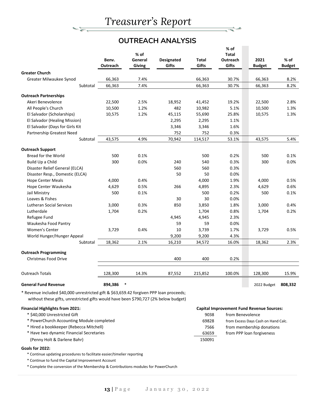## **OUTREACH ANALYSIS**

|                                                                                                                                                                                | Benv.<br>Outreach | % of<br>General<br><b>Giving</b> | <b>Designated</b><br>Gifts | Total<br>Gifts | $%$ of<br><b>Total</b><br><b>Outreach</b><br>Gifts | 2021<br><b>Budget</b>                            | % of<br><b>Budget</b> |
|--------------------------------------------------------------------------------------------------------------------------------------------------------------------------------|-------------------|----------------------------------|----------------------------|----------------|----------------------------------------------------|--------------------------------------------------|-----------------------|
| <b>Greater Church</b>                                                                                                                                                          |                   |                                  |                            |                |                                                    |                                                  |                       |
| Greater Milwaukee Synod                                                                                                                                                        | 66,363            | 7.4%                             |                            | 66,363         | 30.7%                                              | 66,363                                           | 8.2%                  |
| Subtotal                                                                                                                                                                       | 66,363            | 7.4%                             |                            | 66,363         | 30.7%                                              | 66,363                                           | 8.2%                  |
| <b>Outreach Partnerships</b>                                                                                                                                                   |                   |                                  |                            |                |                                                    |                                                  |                       |
| Akeri Benevolence                                                                                                                                                              | 22,500            | 2.5%                             | 18,952                     | 41,452         | 19.2%                                              | 22,500                                           | 2.8%                  |
| All People's Church                                                                                                                                                            | 10,500            | 1.2%                             | 482                        | 10,982         | 5.1%                                               | 10,500                                           | 1.3%                  |
| El Salvador (Scholarships)                                                                                                                                                     | 10,575            | 1.2%                             | 45,115                     | 55,690         | 25.8%                                              | 10,575                                           | 1.3%                  |
| El Salvador (Healing Mission)                                                                                                                                                  |                   |                                  | 2,295                      | 2,295          | 1.1%                                               |                                                  |                       |
| El Salvador (Days for Girls Kit                                                                                                                                                |                   |                                  | 3,346                      | 3,346          | 1.6%                                               |                                                  |                       |
| Partnership Greatest Need                                                                                                                                                      |                   |                                  | 752                        | 752            | 0.3%                                               |                                                  |                       |
| Subtotal                                                                                                                                                                       | 43,575            | 4.9%                             | 70,942                     | 114,517        | 53.1%                                              | 43,575                                           | 5.4%                  |
|                                                                                                                                                                                |                   |                                  |                            |                |                                                    |                                                  |                       |
| <b>Outreach Support</b>                                                                                                                                                        |                   |                                  |                            |                |                                                    |                                                  |                       |
| Bread for the World                                                                                                                                                            | 500               | 0.1%                             |                            | 500            | 0.2%                                               | 500                                              | 0.1%                  |
| Build Up a Child                                                                                                                                                               | 300               | 0.0%                             | 240                        | 540            | 0.3%                                               | 300                                              | 0.0%                  |
| Disaster Relief General (ELCA)                                                                                                                                                 |                   |                                  | 560                        | 560            | 0.3%                                               |                                                  |                       |
| Disaster Resp., Domestic (ELCA)                                                                                                                                                |                   |                                  | 50                         | 50             | 0.0%                                               |                                                  |                       |
| <b>Hope Center Meals</b>                                                                                                                                                       | 4,000             | 0.4%                             |                            | 4,000          | 1.9%                                               | 4,000                                            | 0.5%                  |
| Hope Center Waukesha                                                                                                                                                           | 4,629             | 0.5%                             | 266                        | 4,895          | 2.3%                                               | 4,629                                            | 0.6%                  |
| Jail Ministry                                                                                                                                                                  | 500               | 0.1%                             |                            | 500            | 0.2%                                               | 500                                              | 0.1%                  |
| Loaves & Fishes                                                                                                                                                                |                   |                                  | 30                         | 30             | 0.0%                                               |                                                  |                       |
| <b>Lutheran Social Services</b>                                                                                                                                                | 3,000             | 0.3%                             | 850                        | 3,850          | 1.8%                                               | 3,000                                            | 0.4%                  |
| Lutherdale                                                                                                                                                                     | 1,704             | 0.2%                             |                            | 1,704          | 0.8%                                               | 1,704                                            | 0.2%                  |
| Refugee Fund                                                                                                                                                                   |                   |                                  | 4,945                      | 4,945          | 2.3%                                               |                                                  |                       |
| Waukesha Food Pantry                                                                                                                                                           |                   |                                  | 59                         | 59             | 0.0%                                               |                                                  |                       |
| <b>Women's Center</b>                                                                                                                                                          | 3,729             | 0.4%                             | 10                         | 3,739          | 1.7%                                               | 3,729                                            | 0.5%                  |
| World Hunger/Hunger Appeal                                                                                                                                                     |                   |                                  | 9,200                      | 9,200          | 4.3%                                               |                                                  |                       |
| Subtotal                                                                                                                                                                       | 18,362            | 2.1%                             | 16,210                     | 34,572         | 16.0%                                              | 18,362                                           | 2.3%                  |
| <b>Outreach Programming</b>                                                                                                                                                    |                   |                                  |                            |                |                                                    |                                                  |                       |
| <b>Christmas Food Drive</b>                                                                                                                                                    |                   |                                  | 400                        | 400            | 0.2%                                               |                                                  |                       |
|                                                                                                                                                                                |                   |                                  |                            |                |                                                    |                                                  |                       |
| <b>Outreach Totals</b>                                                                                                                                                         | 128,300           | 14.3%                            | 87,552                     | 215,852        | 100.0%                                             | 128,300                                          | 15.9%                 |
| <b>General Fund Revenue</b>                                                                                                                                                    | 894.386           |                                  |                            |                |                                                    | 2022 Budget                                      | 808,332               |
| * Revenue included \$40,000 unrestricted gift & \$63,659.42 forgiven PPP loan proceeds;<br>without these gifts, unrestricted gifts would have been \$790,727 (2% below budget) |                   |                                  |                            |                |                                                    |                                                  |                       |
| <b>Financial Highlights from 2021:</b>                                                                                                                                         |                   |                                  |                            |                |                                                    | <b>Capital Improvement Fund Revenue Sources:</b> |                       |
| * \$40,000 Unrestricted Gift                                                                                                                                                   |                   |                                  |                            | 9038           | from Benevolence                                   |                                                  |                       |
| * PowerChurch Accounting Module completed                                                                                                                                      |                   |                                  |                            | 69828          |                                                    | from Excess Days Cash on Hand Calc.              |                       |
| * Hired a bookkeeper (Rebecca Mitchell)                                                                                                                                        |                   |                                  |                            | 7566           |                                                    | from membership donations                        |                       |

- 
- \* Have two dynamic Financial Secretaries 63659 from PPP loan forgiveness (Penny Holt & Darlene Bahr) 150091

 $=$   $\frac{1}{\sqrt{2}}$ 

#### **Goals for 2022:**

\* Continue updating procedures to facilitate easier/timelier reporting

\* Continue to fund the Capital Improvement Account

\* Complete the conversion of the Membership & Contributions modules for PowerChurch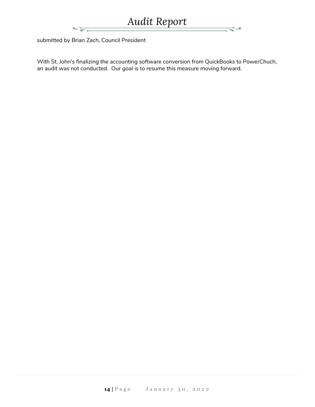÷

submitted by Brian Zach, Council President

With St. John's finalizing the accounting software conversion from QuickBooks to PowerChuch, an audit was not conducted. Our goal is to resume this measure moving forward.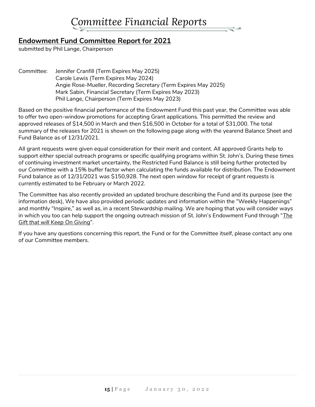## **Endowment Fund Committee Report for 2021**

submitted by Phil Lange, Chairperson

Committee: Jennifer Cranfill (Term Expires May 2025) Carole Lewis (Term Expires May 2024) Angie Rose-Mueller, Recording Secretary (Term Expires May 2025) Mark Sabin, Financial Secretary (Term Expires May 2023) Phil Lange, Chairperson (Term Expires May 2023)

Based on the positive financial performance of the Endowment Fund this past year, the Committee was able to offer two open-window promotions for accepting Grant applications. This permitted the review and approved releases of \$14,500 in March and then \$16,500 in October for a total of \$31,000. The total summary of the releases for 2021 is shown on the following page along with the yearend Balance Sheet and Fund Balance as of 12/31/2021.

All grant requests were given equal consideration for their merit and content. All approved Grants help to support either special outreach programs or specific qualifying programs within St. John's. During these times of continuing investment market uncertainty, the Restricted Fund Balance is still being further protected by our Committee with a 15% buffer factor when calculating the funds available for distribution. The Endowment Fund balance as of 12/31/2021 was \$150,928. The next open window for receipt of grant requests is currently estimated to be February or March 2022.

The Committee has also recently provided an updated brochure describing the Fund and its purpose (see the information desk), We have also provided periodic updates and information within the "Weekly Happenings" and monthly "Inspire," as well as, in a recent Stewardship mailing. We are hoping that you will consider ways in which you too can help support the ongoing outreach mission of St. John's Endowment Fund through "*The Gift that will Keep On Giving*".

If you have any questions concerning this report, the Fund or for the Committee itself, please contact any one of our Committee members.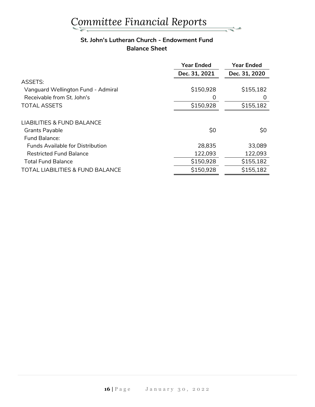### **St. John's Lutheran Church - Endowment Fund Balance Sheet**

⇒≁

|                                             | <b>Year Ended</b> | <b>Year Ended</b> |
|---------------------------------------------|-------------------|-------------------|
|                                             | Dec. 31, 2021     | Dec. 31, 2020     |
| <b>ASSETS:</b>                              |                   |                   |
| Vanguard Wellington Fund - Admiral          | \$150,928         | \$155,182         |
| Receivable from St. John's                  | O                 | O                 |
| <b>TOTAL ASSETS</b>                         | \$150,928         | \$155,182         |
|                                             |                   |                   |
| <b>LIABILITIES &amp; FUND BALANCE</b>       |                   |                   |
| <b>Grants Payable</b>                       | \$0               | \$0               |
| Fund Balance:                               |                   |                   |
| <b>Funds Available for Distribution</b>     | 28,835            | 33,089            |
| <b>Restricted Fund Balance</b>              | 122,093           | 122,093           |
| <b>Total Fund Balance</b>                   | \$150,928         | \$155,182         |
| <b>TOTAL LIABILITIES &amp; FUND BALANCE</b> | \$150,928         | \$155,182         |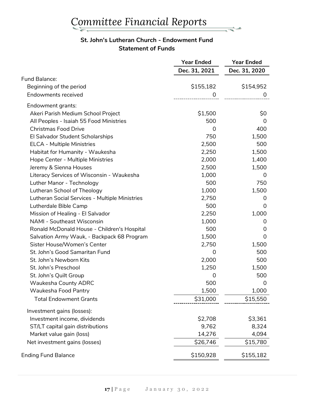### **St. John's Lutheran Church - Endowment Fund Statement of Funds**

₹≁

|                                                | <b>Year Ended</b> | <b>Year Ended</b> |
|------------------------------------------------|-------------------|-------------------|
|                                                | Dec. 31, 2021     | Dec. 31, 2020     |
| <b>Fund Balance:</b>                           |                   |                   |
| Beginning of the period                        | \$155,182         | \$154,952         |
| <b>Endowments received</b>                     | 0                 | 0                 |
| Endowment grants:                              |                   |                   |
| Akeri Parish Medium School Project             | \$1,500           | \$0               |
| All Peoples - Isaiah 55 Food Ministries        | 500               | 0                 |
| <b>Christmas Food Drive</b>                    | 0                 | 400               |
| El Salvador Student Scholarships               | 750               | 1,500             |
| <b>ELCA - Multiple Ministries</b>              | 2,500             | 500               |
| Habitat for Humanity - Waukesha                | 2,250             | 1,500             |
| Hope Center - Multiple Ministries              | 2,000             | 1,400             |
| Jeremy & Sienna Houses                         | 2,500             | 1,500             |
| Literacy Services of Wisconsin - Waukesha      | 1,000             | 0                 |
| Luther Manor - Technology                      | 500               | 750               |
| Lutheran School of Theology                    | 1,000             | 1,500             |
| Lutheran Social Services - Multiple Ministries | 2,750             | 0                 |
| Lutherdale Bible Camp                          | 500               | 0                 |
| Mission of Healing - El Salvador               | 2,250             | 1,000             |
| <b>NAMI - Southeast Wisconsin</b>              | 1,000             | 0                 |
| Ronald McDonald House - Children's Hospital    | 500               | 0                 |
| Salvation Army Wauk, - Backpack 68 Program     | 1,500             | 0                 |
| Sister House/Women's Center                    | 2,750             | 1,500             |
| St. John's Good Samaritan Fund                 | 0                 | 500               |
| St. John's Newborn Kits                        | 2,000             | 500               |
| St. John's Preschool                           | 1,250             | 1,500             |
| St. John's Quilt Group                         | 0                 | 500               |
| <b>Waukesha County ADRC</b>                    | 500               | $\overline{0}$    |
| Waukesha Food Pantry                           | 1,500             | 1,000             |
| <b>Total Endowment Grants</b>                  | \$31,000          | \$15,550          |
| Investment gains (losses):                     |                   |                   |
| Investment income, dividends                   | \$2,708           | \$3,361           |
| ST/LT capital gain distributions               | 9,762             | 8,324             |
| Market value gain (loss)                       | 14,276            | 4,094             |
| Net investment gains (losses)                  | \$26,746          | \$15,780          |
| <b>Ending Fund Balance</b>                     | \$150,928         | \$155,182         |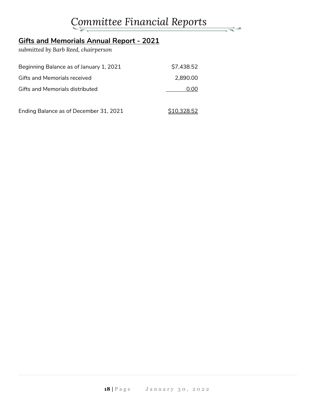ہے۔

## **Gifts and Memorials Annual Report - 2021**

*submitted by Barb Reed, chairperson*

| Beginning Balance as of January 1, 2021 | \$7,438.52  |
|-----------------------------------------|-------------|
| Gifts and Memorials received            | 2,890.00    |
| <b>Gifts and Memorials distributed</b>  | 0.00        |
| Ending Balance as of December 31, 2021  | \$10,328.52 |

**18 |** P a g e J a n u a r y 3 0 , 2 0 2 2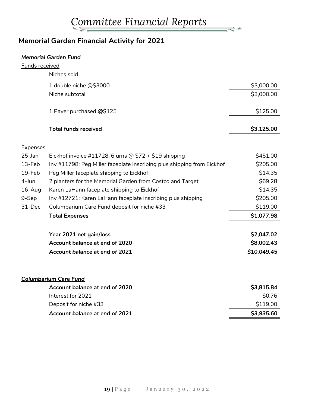$\frac{1}{\sqrt{2\pi}}$ 

## **Memorial Garden Financial Activity for 2021**

#### *Memorial Garden Fund*

| <u>Funds received</u> |                                                                        |             |
|-----------------------|------------------------------------------------------------------------|-------------|
|                       | Niches sold                                                            |             |
|                       | 1 double niche @\$3000                                                 | \$3,000.00  |
|                       | Niche subtotal                                                         | \$3,000.00  |
|                       | 1 Paver purchased @\$125                                               | \$125.00    |
|                       | <b>Total funds received</b>                                            | \$3,125.00  |
| <b>Expenses</b>       |                                                                        |             |
| 25-Jan                | Eickhof invoice #11728: 6 urns @ $$72 + $19$ shipping                  | \$451.00    |
| 13-Feb                | Inv #11798: Peg Miller faceplate inscribing plus shipping from Eickhof | \$205.00    |
| 19-Feb                | Peg Miller faceplate shipping to Eickhof                               | \$14.35     |
| 4-Jun                 | 2 planters for the Memorial Garden from Costco and Target              | \$69.28     |
| 16-Aug                | Karen LaHann faceplate shipping to Eickhof                             | \$14.35     |
| 9-Sep                 | Inv #12721: Karen LaHann faceplate inscribing plus shipping            | \$205.00    |
| 31-Dec                | Columbarium Care Fund deposit for niche #33                            | \$119.00    |
|                       | <b>Total Expenses</b>                                                  | \$1,077.98  |
|                       | Year 2021 net gain/loss                                                | \$2,047.02  |
|                       | Account balance at end of 2020                                         | \$8,002.43  |
|                       | Account balance at end of 2021                                         | \$10,049.45 |
|                       |                                                                        |             |
|                       | <b>Columbarium Care Fund</b>                                           |             |
|                       | Account balance at end of 2020                                         | \$3,815.84  |
|                       | Interest for 2021                                                      | \$0.76      |
|                       | Deposit for niche #33                                                  | \$119.00    |
|                       | Account balance at end of 2021                                         | \$3,935.60  |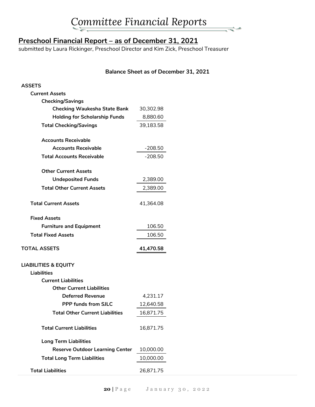## **Preschool Financial Report – as of December 31, 2021**

submitted by Laura Rickinger, Preschool Director and Kim Zick, Preschool Treasurer

### **Balance Sheet as of December 31, 2021**

s.

| <b>ASSETS</b>                          |           |  |
|----------------------------------------|-----------|--|
| <b>Current Assets</b>                  |           |  |
| <b>Checking/Savings</b>                |           |  |
| <b>Checking Waukesha State Bank</b>    | 30,302.98 |  |
| <b>Holding for Scholarship Funds</b>   | 8,880.60  |  |
| <b>Total Checking/Savings</b>          | 39,183.58 |  |
| <b>Accounts Receivable</b>             |           |  |
| <b>Accounts Receivable</b>             | $-208.50$ |  |
| <b>Total Accounts Receivable</b>       | $-208.50$ |  |
| <b>Other Current Assets</b>            |           |  |
| <b>Undeposited Funds</b>               | 2,389.00  |  |
| <b>Total Other Current Assets</b>      | 2,389.00  |  |
| <b>Total Current Assets</b>            | 41,364.08 |  |
| <b>Fixed Assets</b>                    |           |  |
|                                        |           |  |
|                                        |           |  |
| <b>Furniture and Equipment</b>         | 106.50    |  |
| <b>Total Fixed Assets</b>              | 106.50    |  |
| <b>TOTAL ASSETS</b>                    | 41,470.58 |  |
| <b>LIABILITIES &amp; EQUITY</b>        |           |  |
| <b>Liabilities</b>                     |           |  |
| <b>Current Liabilities</b>             |           |  |
| <b>Other Current Liabilities</b>       |           |  |
| <b>Deferred Revenue</b>                | 4,231.17  |  |
| <b>PPP funds from SJLC</b>             | 12,640.58 |  |
| <b>Total Other Current Liabilities</b> | 16,871.75 |  |
| <b>Total Current Liabilities</b>       | 16,871.75 |  |
| <b>Long Term Liabilities</b>           |           |  |
| <b>Reserve Outdoor Learning Center</b> | 10,000.00 |  |
| <b>Total Long Term Liabilities</b>     | 10,000.00 |  |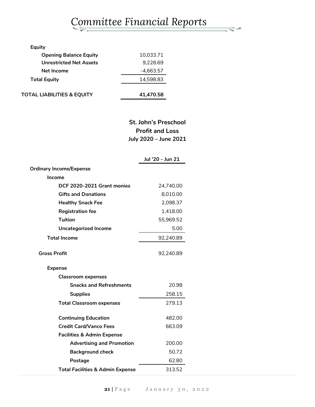ہے۔

| <b>Equity</b>                         |           |
|---------------------------------------|-----------|
| <b>Opening Balance Equity</b>         | 10.033.71 |
| <b>Unrestricted Net Assets</b>        | 9,228.69  |
| Net Income                            | -4.663.57 |
| <b>Total Equity</b>                   | 14.598.83 |
| <b>TOTAL LIABILITIES &amp; EQUITY</b> | 41.470.58 |

## **St. John's Preschool Profit and Loss July 2020 – June 2021**

|                                             | Jul '20 - Jun 21 |
|---------------------------------------------|------------------|
| <b>Ordinary Income/Expense</b>              |                  |
| <b>Income</b>                               |                  |
| DCF 2020-2021 Grant monies                  | 24,740.00        |
| <b>Gifts and Donations</b>                  | 8,010.00         |
| <b>Healthy Snack Fee</b>                    | 2,098.37         |
| <b>Registration fee</b>                     | 1,418.00         |
| <b>Tuition</b>                              | 55,969.52        |
| <b>Uncategorized Income</b>                 | 5.00             |
| <b>Total Income</b>                         | 92,240.89        |
| <b>Gross Profit</b>                         | 92,240.89        |
| <b>Expense</b>                              |                  |
| <b>Classroom expenses</b>                   |                  |
| <b>Snacks and Refreshments</b>              | 20.98            |
| <b>Supplies</b>                             | 258.15           |
| <b>Total Classroom expenses</b>             | 279.13           |
| <b>Continuing Education</b>                 | 482.00           |
| <b>Credit Card/Vanco Fees</b>               | 663.09           |
| <b>Facilities &amp; Admin Expense</b>       |                  |
| <b>Advertising and Promotion</b>            | 200.00           |
| <b>Background check</b>                     | 50.72            |
| Postage                                     | 62.80            |
| <b>Total Facilities &amp; Admin Expense</b> | 313.52           |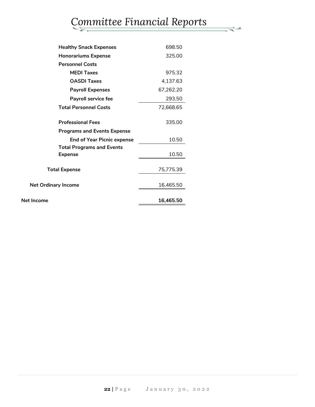| <b>Healthy Snack Expenses</b>      | 698.50    |
|------------------------------------|-----------|
| <b>Honorariums Expense</b>         | 325.00    |
| <b>Personnel Costs</b>             |           |
| <b>MEDI Taxes</b>                  | 975.32    |
| <b>OASDI Taxes</b>                 | 4,137.63  |
| <b>Payroll Expenses</b>            | 67,262.20 |
| <b>Payroll service fee</b>         | 293.50    |
| <b>Total Personnel Costs</b>       | 72,668.65 |
| <b>Professional Fees</b>           | 335.00    |
| <b>Programs and Events Expense</b> |           |
| <b>End of Year Picnic expense</b>  | 10.50     |
| <b>Total Programs and Events</b>   |           |
| <b>Expense</b>                     | 10.50     |
| <b>Total Expense</b>               | 75,775.39 |
| <b>Net Ordinary Income</b>         | 16,465.50 |
| <b>Net Income</b>                  | 16,465.50 |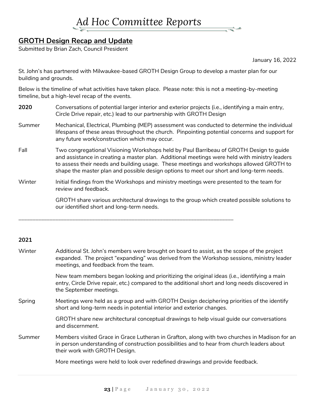

## **GROTH Design Recap and Update**

Submitted by Brian Zach, Council President

January 16, 2022

St. John's has partnered with Milwaukee-based GROTH Design Group to develop a master plan for our building and grounds.

Below is the timeline of what activities have taken place. Please note: this is not a meeting-by-meeting timeline, but a high-level recap of the events.

- **2020** Conversations of potential larger interior and exterior projects (i.e., identifying a main entry, Circle Drive repair, etc.) lead to our partnership with GROTH Design
- Summer Mechanical, Electrical, Plumbing (MEP) assessment was conducted to determine the individual lifespans of these areas throughout the church. Pinpointing potential concerns and support for any future work/construction which may occur.
- Fall Two congregational Visioning Workshops held by Paul Barribeau of GROTH Design to guide and assistance in creating a master plan. Additional meetings were held with ministry leaders to assess their needs and building usage. These meetings and workshops allowed GROTH to shape the master plan and possible design options to meet our short and long-term needs.
- Winter Initial findings from the Workshops and ministry meetings were presented to the team for review and feedback.

\_\_\_\_\_\_\_\_\_\_\_\_\_\_\_\_\_\_\_\_\_\_\_\_\_\_\_\_\_\_\_\_\_\_\_\_\_\_\_\_\_\_\_\_\_\_\_\_\_\_\_\_\_\_\_\_\_\_\_\_\_\_\_\_\_\_\_\_\_\_\_\_\_\_\_\_

GROTH share various architectural drawings to the group which created possible solutions to our identified short and long-term needs.

#### **2021**

| Winter | Additional St. John's members were brought on board to assist, as the scope of the project<br>expanded. The project "expanding" was derived from the Workshop sessions, ministry leader<br>meetings, and feedback from the team. |
|--------|----------------------------------------------------------------------------------------------------------------------------------------------------------------------------------------------------------------------------------|
|        | New team members began looking and prioritizing the original ideas (i.e., identifying a main<br>entry, Circle Drive repair, etc.) compared to the additional short and long needs discovered in<br>the September meetings.       |
| Spring | Meetings were held as a group and with GROTH Design deciphering priorities of the identify<br>short and long-term needs in potential interior and exterior changes.                                                              |
|        | GROTH share new architectural conceptual drawings to help visual guide our conversations<br>and discernment.                                                                                                                     |
| Summer | Members visited Grace in Grace Lutheran in Grafton, along with two churches in Madison for an<br>in person understanding of construction possibilities and to hear from church leaders about<br>their work with GROTH Design.    |
|        | More meetings were held to look over redefined drawings and provide feedback.                                                                                                                                                    |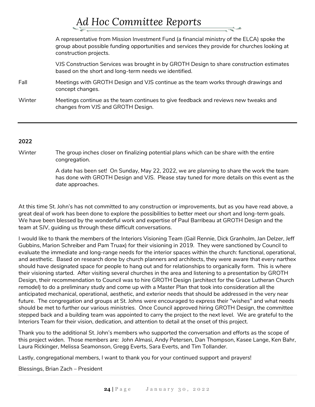# *Ad Hoc Committee Reports*

A representative from Mission Investment Fund (a financial ministry of the ELCA) spoke the group about possible funding opportunities and services they provide for churches looking at construction projects. VJS Construction Services was brought in by GROTH Design to share construction estimates based on the short and long-term needs we identified. Fall Meetings with GROTH Design and VJS continue as the team works through drawings and

- concept changes.
- Winter Meetings continue as the team continues to give feedback and reviews new tweaks and changes from VJS and GROTH Design.

#### **2022**

Winter The group inches closer on finalizing potential plans which can be share with the entire congregation.

> A date has been set! On Sunday, May 22, 2022, we are planning to share the work the team has done with GROTH Design and VJS. Please stay tuned for more details on this event as the date approaches.

At this time St. John's has not committed to any construction or improvements, but as you have read above, a great deal of work has been done to explore the possibilities to better meet our short and long-term goals. We have been blessed by the wonderful work and expertise of Paul Barribeau at GROTH Design and the team at SJV, guiding us through these difficult conversations.

I would like to thank the members of the Interiors Visioning Team (Gail Rennie, Dick Granholm, Jan Delzer, Jeff Gubbins, Marion Schreiber and Pam Truax) for their visioning in 2019. They were sanctioned by Council to evaluate the immediate and long-range needs for the interior spaces within the church: functional, operational, and aesthetic. Based on research done by church planners and architects, they were aware that every narthex should have designated space for people to hang out and for relationships to organically form. This is where their visioning started. After visiting several churches in the area and listening to a presentation by GROTH Design, their recommendation to Council was to hire GROTH Design (architect for the Grace Lutheran Church remodel) to do a preliminary study and come up with a Master Plan that took into consideration all the anticipated mechanical, operational, aesthetic, and exterior needs that should be addressed in the very near future. The congregation and groups at St. Johns were encouraged to express their "wishes" and what needs should be met to further our various ministries. Once Council approved hiring GROTH Design, the committee stepped back and a building team was appointed to carry the project to the next level. We are grateful to the Interiors Team for their vision, dedication, and attention to detail at the onset of this project.

Thank you to the additional St. John's members who supported the conversation and efforts as the scope of this project widen. Those members are: John Almasi, Andy Petersen, Dan Thompson, Kasee Lange, Ken Bahr, Laura Rickinger, Melissa Seamonson, Gregg Everts, Sara Everts, and Tim Tollander.

Lastly, congregational members, I want to thank you for your continued support and prayers!

Blessings, Brian Zach – President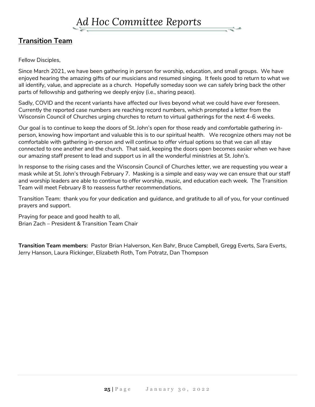## **Transition Team**

Fellow Disciples,

Since March 2021, we have been gathering in person for worship, education, and small groups. We have enjoyed hearing the amazing gifts of our musicians and resumed singing. It feels good to return to what we all identify, value, and appreciate as a church. Hopefully someday soon we can safely bring back the other parts of fellowship and gathering we deeply enjoy (i.e., sharing peace).

Sadly, COVID and the recent variants have affected our lives beyond what we could have ever foreseen. Currently the reported case numbers are reaching record numbers, which prompted a letter from the Wisconsin Council of Churches urging churches to return to virtual gatherings for the next 4-6 weeks.

Our goal is to continue to keep the doors of St. John's open for those ready and comfortable gathering inperson, knowing how important and valuable this is to our spiritual health. We recognize others may not be comfortable with gathering in-person and will continue to offer virtual options so that we can all stay connected to one another and the church. That said, keeping the doors open becomes easier when we have our amazing staff present to lead and support us in all the wonderful ministries at St. John's.

In response to the rising cases and the Wisconsin Council of Churches letter, we are requesting you wear a mask while at St. John's through February 7. Masking is a simple and easy way we can ensure that our staff and worship leaders are able to continue to offer worship, music, and education each week. The Transition Team will meet February 8 to reassess further recommendations.

Transition Team: thank you for your dedication and guidance, and gratitude to all of you, for your continued prayers and support.

Praying for peace and good health to all, Brian Zach – President & Transition Team Chair

**Transition Team members:** Pastor Brian Halverson, Ken Bahr, Bruce Campbell, Gregg Everts, Sara Everts, Jerry Hanson, Laura Rickinger, Elizabeth Roth, Tom Potratz, Dan Thompson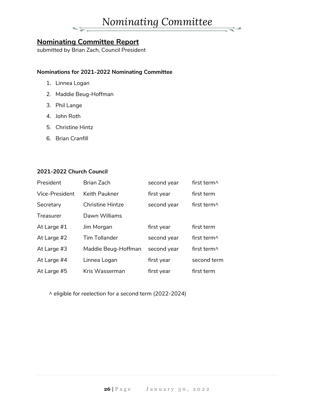

## **Nominating Committee Report**

submitted by Brian Zach, Council President

#### **Nominations for 2021-2022 Nominating Committee**

- 1. Linnea Logan
- 2. Maddie Beug-Hoffman
- 3. Phil Lange
- 4. John Roth
- 5. Christine Hintz
- 6. Brian Cranfill

#### **2021-2022 Church Council**

| President      | Brian Zach              | second year | first term^                               |
|----------------|-------------------------|-------------|-------------------------------------------|
| Vice-President | Keith Paukner           | first year  | first term                                |
| Secretary      | <b>Christine Hintze</b> | second year | first term $\wedge$                       |
| Treasurer      | Dawn Williams           |             |                                           |
| At Large #1    | Jim Morgan              | first year  | first term                                |
| At Large #2    | <b>Tim Tollander</b>    | second year | first term <sup><math>\wedge</math></sup> |
| At Large #3    | Maddie Beug-Hoffman     | second year | first term $\wedge$                       |
| At Large #4    | Linnea Logan            | first year  | second term                               |
| At Large #5    | Kris Wasserman          | first year  | first term                                |

^ eligible for reelection for a second term (2022-2024)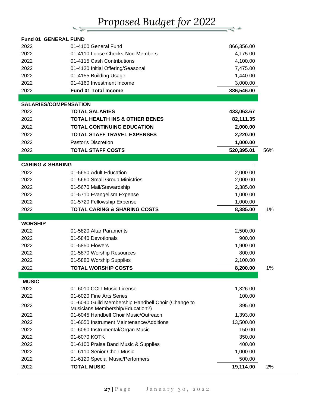# *Proposed Budget for 2022*

 $\equiv$ 

| <b>Fund 01 GENERAL FUND</b> |                                                    |            |     |
|-----------------------------|----------------------------------------------------|------------|-----|
| 2022                        | 01-4100 General Fund                               | 866,356.00 |     |
| 2022                        | 01-4110 Loose Checks-Non-Members                   | 4,175.00   |     |
| 2022                        | 01-4115 Cash Contributions                         | 4,100.00   |     |
| 2022                        | 01-4120 Initial Offering/Seasonal                  | 7,475.00   |     |
| 2022                        | 01-4155 Building Usage                             | 1,440.00   |     |
| 2022                        | 01-4160 Investment Income                          | 3,000.00   |     |
| 2022                        | <b>Fund 01 Total Income</b>                        | 886,546.00 |     |
|                             |                                                    |            |     |
|                             | <b>SALARIES/COMPENSATION</b>                       |            |     |
| 2022                        | <b>TOTAL SALARIES</b>                              | 433,063.67 |     |
| 2022                        | <b>TOTAL HEALTH INS &amp; OTHER BENES</b>          | 82,111.35  |     |
| 2022                        | <b>TOTAL CONTINUING EDUCATION</b>                  | 2,000.00   |     |
| 2022                        | <b>TOTAL STAFF TRAVEL EXPENSES</b>                 | 2,220.00   |     |
| 2022                        | Pastor's Discretion                                | 1,000.00   |     |
| 2022                        | <b>TOTAL STAFF COSTS</b>                           | 520,395.01 | 56% |
| <b>CARING &amp; SHARING</b> |                                                    |            |     |
| 2022                        | 01-5650 Adult Education                            | 2,000.00   |     |
| 2022                        | 01-5660 Small Group Ministries                     | 2,000.00   |     |
| 2022                        | 01-5670 Mail/Stewardship                           | 2,385.00   |     |
| 2022                        | 01-5710 Evangelism Expense                         | 1,000.00   |     |
| 2022                        | 01-5720 Fellowship Expense                         | 1,000.00   |     |
| 2022                        | <b>TOTAL CARING &amp; SHARING COSTS</b>            | 8,385.00   | 1%  |
|                             |                                                    |            |     |
| <b>WORSHIP</b>              |                                                    |            |     |
| 2022                        | 01-5820 Altar Paraments                            | 2,500.00   |     |
| 2022                        | 01-5840 Devotionals                                | 900.00     |     |
| 2022                        | 01-5850 Flowers                                    | 1,900.00   |     |
| 2022                        | 01-5870 Worship Resources                          | 800.00     |     |
| 2022                        | 01-5880 Worship Supplies                           | 2,100.00   |     |
| 2022                        | <b>TOTAL WORSHIP COSTS</b>                         | 8,200.00   | 1%  |
|                             |                                                    |            |     |
| <b>MUSIC</b><br>2022        | 01-6010 CCLI Music License                         | 1,326.00   |     |
| 2022                        | 01-6020 Fine Arts Series                           | 100.00     |     |
|                             | 01-6040 Guild Membership Handbell Choir (Change to |            |     |
| 2022                        | Musicians Membership/Education?)                   | 395.00     |     |
| 2022                        | 01-6045 Handbell Choir Music/Outreach              | 1,393.00   |     |
| 2022                        | 01-6050 Instrument Maintenance/Additions           | 13,500.00  |     |
| 2022                        | 01-6060 Instrumental/Organ Music                   | 150.00     |     |
| 2022                        | 01-6070 KOTK                                       | 350.00     |     |
| 2022                        | 01-6100 Praise Band Music & Supplies               | 400.00     |     |
| 2022                        | 01-6110 Senior Choir Music                         | 1,000.00   |     |
| 2022                        | 01-6120 Special Music/Performers                   | 500.00     |     |
| 2022                        | <b>TOTAL MUSIC</b>                                 | 19,114.00  | 2%  |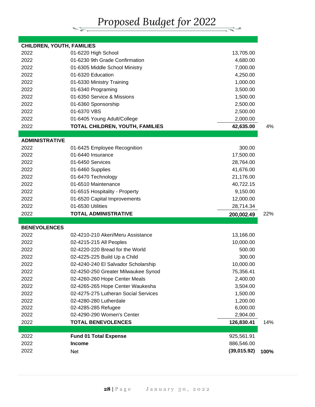*Proposed Budget for 2022*

 $\frac{1}{\sqrt{2}}$ 

| <b>CHILDREN, YOUTH, FAMILIES</b> |                                                   |                           |      |
|----------------------------------|---------------------------------------------------|---------------------------|------|
| 2022                             | 01-6220 High School                               | 13,705.00                 |      |
| 2022                             | 01-6230 9th Grade Confirmation                    | 4,680.00                  |      |
| 2022                             | 01-6305 Middle School Ministry                    | 7,000.00                  |      |
| 2022                             | 01-6320 Education                                 | 4,250.00                  |      |
| 2022                             | 01-6330 Ministry Training                         | 1,000.00                  |      |
| 2022                             | 01-6340 Programing                                | 3,500.00                  |      |
| 2022                             | 01-6350 Service & Missions                        | 1,500.00                  |      |
| 2022                             | 01-6360 Sponsorship                               | 2,500.00                  |      |
| 2022                             | 01-6370 VBS                                       | 2,500.00                  |      |
| 2022                             | 01-6405 Young Adult/College                       | 2,000.00                  |      |
| 2022                             | TOTAL CHILDREN, YOUTH, FAMILIES                   | 42,635.00                 | 4%   |
|                                  |                                                   |                           |      |
| <b>ADMINISTRATIVE</b><br>2022    |                                                   | 300.00                    |      |
| 2022                             | 01-6425 Employee Recognition<br>01-6440 Insurance | 17,500.00                 |      |
| 2022                             | 01-6450 Services                                  | 28,764.00                 |      |
| 2022                             |                                                   | 41,676.00                 |      |
| 2022                             | 01-6460 Supplies<br>01-6470 Technology            |                           |      |
| 2022                             | 01-6510 Maintenance                               | 21,176.00<br>40,722.15    |      |
| 2022                             |                                                   |                           |      |
| 2022                             | 01-6515 Hospitality - Property                    | 9,150.00<br>12,000.00     |      |
| 2022                             | 01-6520 Capital Improvements<br>01-6530 Utilities |                           |      |
|                                  |                                                   | 28,714.34                 |      |
| 2022                             | <b>TOTAL ADMINISTRATIVE</b>                       | 200,002.49                | 22%  |
| <b>BENEVOLENCES</b>              |                                                   |                           |      |
| 2022                             | 02-4210-210 Akeri/Meru Assistance                 | 13,166.00                 |      |
| 2022                             | 02-4215-215 All Peoples                           | 10,000.00                 |      |
| 2022                             | 02-4220-220 Bread for the World                   | 500.00                    |      |
| 2022                             | 02-4225-225 Build Up a Child                      | 300.00                    |      |
| 2022                             | 02-4240-240 El Salvador Scholarship               | 10,000.00                 |      |
| 2022                             | 02-4250-250 Greater Milwaukee Synod               | 75,356.41                 |      |
| 2022                             | 02-4260-260 Hope Center Meals                     | 2,400.00                  |      |
| 2022                             | 02-4265-265 Hope Center Waukesha                  | 3,504.00                  |      |
| 2022                             | 02-4275-275 Lutheran Social Services              | 1,500.00                  |      |
| 2022                             | 02-4280-280 Lutherdale                            | 1,200.00                  |      |
| 2022                             | 02-4285-285 Refugee                               | 6,000.00                  |      |
| 2022                             | 02-4290-290 Women's Center                        | 2,904.00                  |      |
|                                  |                                                   |                           |      |
| 2022                             | <b>TOTAL BENEVOLENCES</b>                         | 126,830.41                | 14%  |
|                                  |                                                   |                           |      |
| 2022                             | <b>Fund 01 Total Expense</b>                      | 925,561.91                |      |
| 2022<br>2022                     | <b>Income</b><br>Net                              | 886,546.00<br>(39,015.92) | 100% |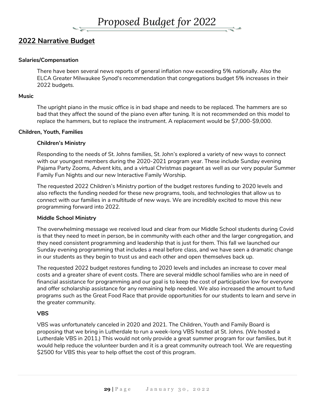

## **2022 Narrative Budget**

#### **Salaries/Compensation**

There have been several news reports of general inflation now exceeding 5% nationally. Also the ELCA Greater Milwaukee Synod's recommendation that congregations budget 5% increases in their 2022 budgets.

#### **Music**

The upright piano in the music office is in bad shape and needs to be replaced. The hammers are so bad that they affect the sound of the piano even after tuning. It is not recommended on this model to replace the hammers, but to replace the instrument. A replacement would be \$7,000-\$9,000.

#### **Children, Youth, Families**

#### **Children's Ministry**

Responding to the needs of St. Johns families, St. John's explored a variety of new ways to connect with our youngest members during the 2020-2021 program year. These include Sunday evening Pajama Party Zooms, Advent kits, and a virtual Christmas pageant as well as our very popular Summer Family Fun Nights and our new Interactive Family Worship.

The requested 2022 Children's Ministry portion of the budget restores funding to 2020 levels and also reflects the funding needed for these new programs, tools, and technologies that allow us to connect with our families in a multitude of new ways. We are incredibly excited to move this new programming forward into 2022.

#### **Middle School Ministry**

The overwhelming message we received loud and clear from our Middle School students during Covid is that they need to meet in person, be in community with each other and the larger congregation, and they need consistent programming and leadership that is just for them. This fall we launched our Sunday evening programming that includes a meal before class, and we have seen a dramatic change in our students as they begin to trust us and each other and open themselves back up.

The requested 2022 budget restores funding to 2020 levels and includes an increase to cover meal costs and a greater share of event costs. There are several middle school families who are in need of financial assistance for programming and our goal is to keep the cost of participation low for everyone and offer scholarship assistance for any remaining help needed. We also increased the amount to fund programs such as the Great Food Race that provide opportunities for our students to learn and serve in the greater community.

#### **VBS**

VBS was unfortunately canceled in 2020 and 2021. The Children, Youth and Family Board is proposing that we bring in Lutherdale to run a week-long VBS hosted at St. Johns. (We hosted a Lutherdale VBS in 2011.) This would not only provide a great summer program for our families, but it would help reduce the volunteer burden and it is a great community outreach tool. We are requesting \$2500 for VBS this year to help offset the cost of this program.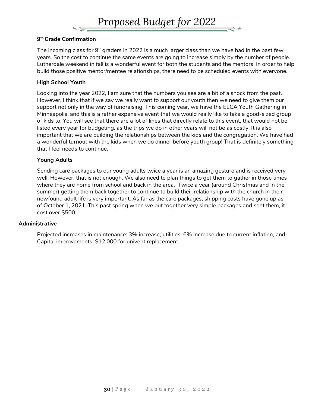

#### **9 th Grade Confirmation**

The incoming class for  $9<sup>th</sup>$  graders in 2022 is a much larger class than we have had in the past few years. So the cost to continue the same events are going to increase simply by the number of people. Lutherdale weekend in fall is a wonderful event for both the students and the mentors. In order to help build those positive mentor/mentee relationships, there need to be scheduled events with everyone.

#### **High School Youth**

Looking into the year 2022, I am sure that the numbers you see are a bit of a shock from the past. However, I think that if we say we really want to support our youth then we need to give them our support not only in the way of fundraising. This coming year, we have the ELCA Youth Gathering in Minneapolis, and this is a rather expensive event that we would really like to take a good-sized group of kids to. You will see that there are a lot of lines that directly relate to this event, that would not be listed every year for budgeting, as the trips we do in other years will not be as costly. It is also important that we are building the relationships between the kids and the congregation. We have had a wonderful turnout with the kids when we do dinner before youth group! That is definitely something that I feel needs to continue.

#### **Young Adults**

Sending care packages to our young adults twice a year is an amazing gesture and is received very well. However, that is not enough. We also need to plan things to get them to gather in those times where they are home from school and back in the area. Twice a year (around Christmas and in the summer) getting them back together to continue to build their relationship with the church in their newfound adult life is very important. As far as the care packages, shipping costs have gone up as of October 1, 2021. This past spring when we put together very simple packages and sent them, it cost over \$500.

#### **Administrative**

Projected increases in maintenance: 3% increase, utilities: 6% increase due to current inflation, and Capital improvements: \$12,000 for univent replacement